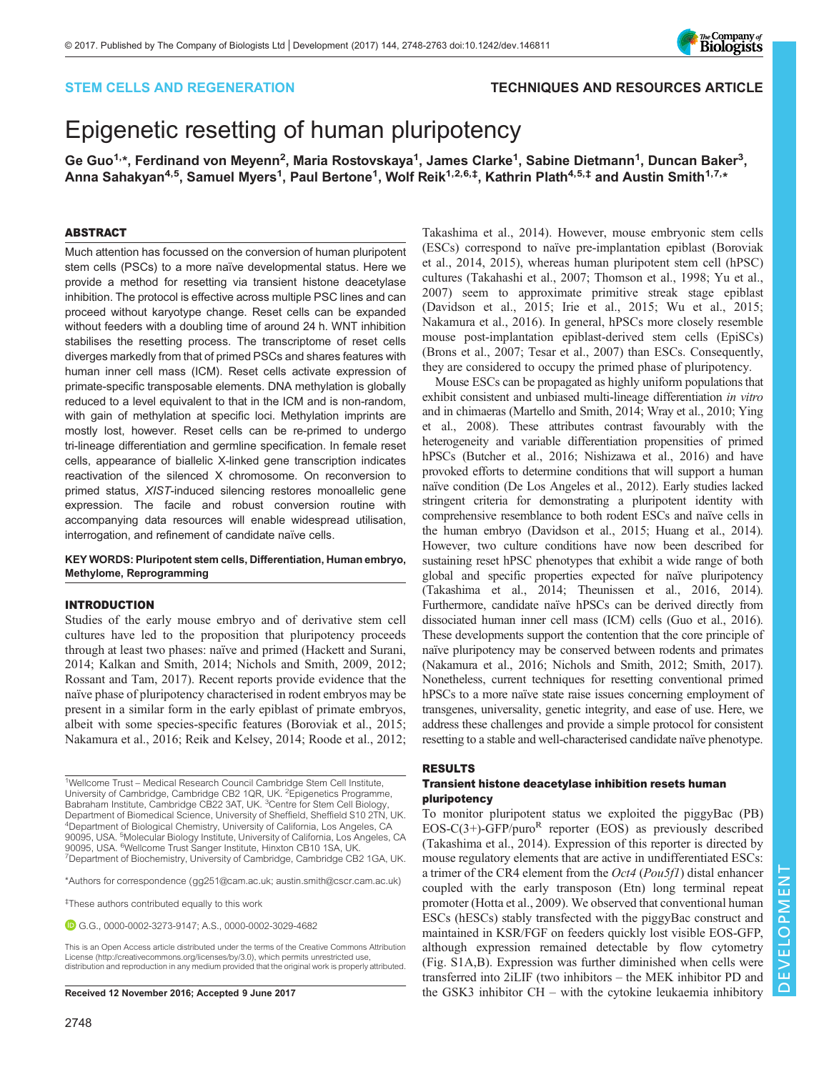# STEM CELLS AND REGENERATION TECHNIQUES AND RESOURCES ARTICLE

# Epigenetic resetting of human pluripotency

Ge Guo<sup>1,</sup>\*, Ferdinand von Meyenn<sup>2</sup>, Maria Rostovskaya<sup>1</sup>, James Clarke<sup>1</sup>, Sabine Dietmann<sup>1</sup>, Duncan Baker<sup>3</sup>, Anna Sahakyan<sup>4,5</sup>, Samuel Myers<sup>1</sup>, Paul Bertone<sup>1</sup>, Wolf Reik<sup>1,2,6,‡</sup>, Kathrin Plath<sup>4,5,‡</sup> and Austin Smith<sup>1,7,</sup>\*

# ABSTRACT

Much attention has focussed on the conversion of human pluripotent stem cells (PSCs) to a more naïve developmental status. Here we provide a method for resetting via transient histone deacetylase inhibition. The protocol is effective across multiple PSC lines and can proceed without karyotype change. Reset cells can be expanded without feeders with a doubling time of around 24 h. WNT inhibition stabilises the resetting process. The transcriptome of reset cells diverges markedly from that of primed PSCs and shares features with human inner cell mass (ICM). Reset cells activate expression of primate-specific transposable elements. DNA methylation is globally reduced to a level equivalent to that in the ICM and is non-random, with gain of methylation at specific loci. Methylation imprints are mostly lost, however. Reset cells can be re-primed to undergo tri-lineage differentiation and germline specification. In female reset cells, appearance of biallelic X-linked gene transcription indicates reactivation of the silenced X chromosome. On reconversion to primed status, XIST-induced silencing restores monoallelic gene expression. The facile and robust conversion routine with accompanying data resources will enable widespread utilisation, interrogation, and refinement of candidate naïve cells.

# KEY WORDS: Pluripotent stem cells, Differentiation, Human embryo, Methylome, Reprogramming

# INTRODUCTION

Studies of the early mouse embryo and of derivative stem cell cultures have led to the proposition that pluripotency proceeds through at least two phases: naïve and primed ([Hackett and Surani,](#page-14-0) [2014](#page-14-0); [Kalkan and Smith, 2014; Nichols and Smith, 2009](#page-14-0), [2012](#page-14-0); [Rossant and Tam, 2017](#page-15-0)). Recent reports provide evidence that the naïve phase of pluripotency characterised in rodent embryos may be present in a similar form in the early epiblast of primate embryos, albeit with some species-specific features ([Boroviak et al., 2015](#page-13-0); [Nakamura et al., 2016; Reik and Kelsey, 2014;](#page-14-0) [Roode et al., 2012](#page-15-0);

<sup>1</sup>Wellcome Trust - Medical Research Council Cambridge Stem Cell Institute, University of Cambridge, Cambridge CB2 1QR, UK. <sup>2</sup>Epigenetics Programme, Babraham Institute, Cambridge CB22 3AT, UK. <sup>3</sup>Centre for Stem Cell Biology, Department of Biomedical Science, University of Sheffield, Sheffield S10 2TN, UK. 4Department of Biological Chemistry, University of California, Los Angeles, CA 90095, USA. <sup>5</sup>Molecular Biology Institute, University of California, Los Angeles, CA 90095, USA. 6Wellcome Trust Sanger Institute, Hinxton CB10 1SA, UK. <sup>7</sup> <sup>7</sup>Department of Biochemistry, University of Cambridge, Cambridge CB2 1GA, UK.

\*Authors for correspondence ([gg251@cam.ac.uk](mailto:gg251@cam.ac.uk); [austin.smith@cscr.cam.ac.uk](mailto:austin.smith@cscr.cam.ac.uk))

‡ These authors contributed equally to this work

G.G., [0000-0002-3273-9147](http://orcid.org/0000-0002-3273-9147); A.S., [0000-0002-3029-4682](http://orcid.org/0000-0002-3029-4682)

[Takashima et al., 2014\)](#page-15-0). However, mouse embryonic stem cells (ESCs) correspond to naïve pre-implantation epiblast [\(Boroviak](#page-13-0) [et al., 2014](#page-13-0), [2015](#page-13-0)), whereas human pluripotent stem cell (hPSC) cultures ([Takahashi et al., 2007](#page-15-0); [Thomson et al., 1998; Yu et al.,](#page-15-0) [2007\)](#page-15-0) seem to approximate primitive streak stage epiblast [\(Davidson et al., 2015; Irie et al., 2015;](#page-14-0) [Wu et al., 2015](#page-15-0); [Nakamura et al., 2016\)](#page-14-0). In general, hPSCs more closely resemble mouse post-implantation epiblast-derived stem cells (EpiSCs) [\(Brons et al., 2007](#page-13-0); [Tesar et al., 2007\)](#page-15-0) than ESCs. Consequently, they are considered to occupy the primed phase of pluripotency.

Mouse ESCs can be propagated as highly uniform populations that exhibit consistent and unbiased multi-lineage differentiation in vitro and in chimaeras [\(Martello and Smith, 2014](#page-14-0); [Wray et al., 2010; Ying](#page-15-0) [et al., 2008](#page-15-0)). These attributes contrast favourably with the heterogeneity and variable differentiation propensities of primed hPSCs ([Butcher et al., 2016](#page-13-0); [Nishizawa et al., 2016\)](#page-14-0) and have provoked efforts to determine conditions that will support a human naïve condition [\(De Los Angeles et al., 2012](#page-14-0)). Early studies lacked stringent criteria for demonstrating a pluripotent identity with comprehensive resemblance to both rodent ESCs and naïve cells in the human embryo ([Davidson et al., 2015](#page-14-0); [Huang et al., 2014\)](#page-14-0). However, two culture conditions have now been described for sustaining reset hPSC phenotypes that exhibit a wide range of both global and specific properties expected for naïve pluripotency [\(Takashima et al., 2014](#page-15-0); [Theunissen et al., 2016, 2014\)](#page-15-0). Furthermore, candidate naïve hPSCs can be derived directly from dissociated human inner cell mass (ICM) cells ([Guo et al., 2016\)](#page-14-0). These developments support the contention that the core principle of naïve pluripotency may be conserved between rodents and primates [\(Nakamura et al., 2016; Nichols and Smith, 2012](#page-14-0); [Smith, 2017\)](#page-15-0). Nonetheless, current techniques for resetting conventional primed hPSCs to a more naïve state raise issues concerning employment of transgenes, universality, genetic integrity, and ease of use. Here, we address these challenges and provide a simple protocol for consistent resetting to a stable and well-characterised candidate naïve phenotype.

#### RESULTS

# Transient histone deacetylase inhibition resets human pluripotency

To monitor pluripotent status we exploited the piggyBac (PB) EOS-C(3+)-GFP/puro<sup>R</sup> reporter (EOS) as previously described [\(Takashima et al., 2014](#page-15-0)). Expression of this reporter is directed by mouse regulatory elements that are active in undifferentiated ESCs: a trimer of the CR4 element from the Oct4 (Pou5f1) distal enhancer coupled with the early transposon (Etn) long terminal repeat promoter [\(Hotta et al., 2009\)](#page-14-0). We observed that conventional human ESCs (hESCs) stably transfected with the piggyBac construct and maintained in KSR/FGF on feeders quickly lost visible EOS-GFP, although expression remained detectable by flow cytometry [\(Fig. S1A,B\)](http://dev.biologists.org/lookup/doi/10.1242/dev.146811.supplemental). Expression was further diminished when cells were transferred into 2iLIF (two inhibitors – the MEK inhibitor PD and Received 12 November 2016; Accepted 9 June 2017 the GSK3 inhibitor CH – with the cytokine leukaemia inhibitory

This is an Open Access article distributed under the terms of the Creative Commons Attribution License [\(http://creativecommons.org/licenses/by/3.0\)](http://creativecommons.org/licenses/by/3.0), which permits unrestricted use, distribution and reproduction in any medium provided that the original work is properly attributed.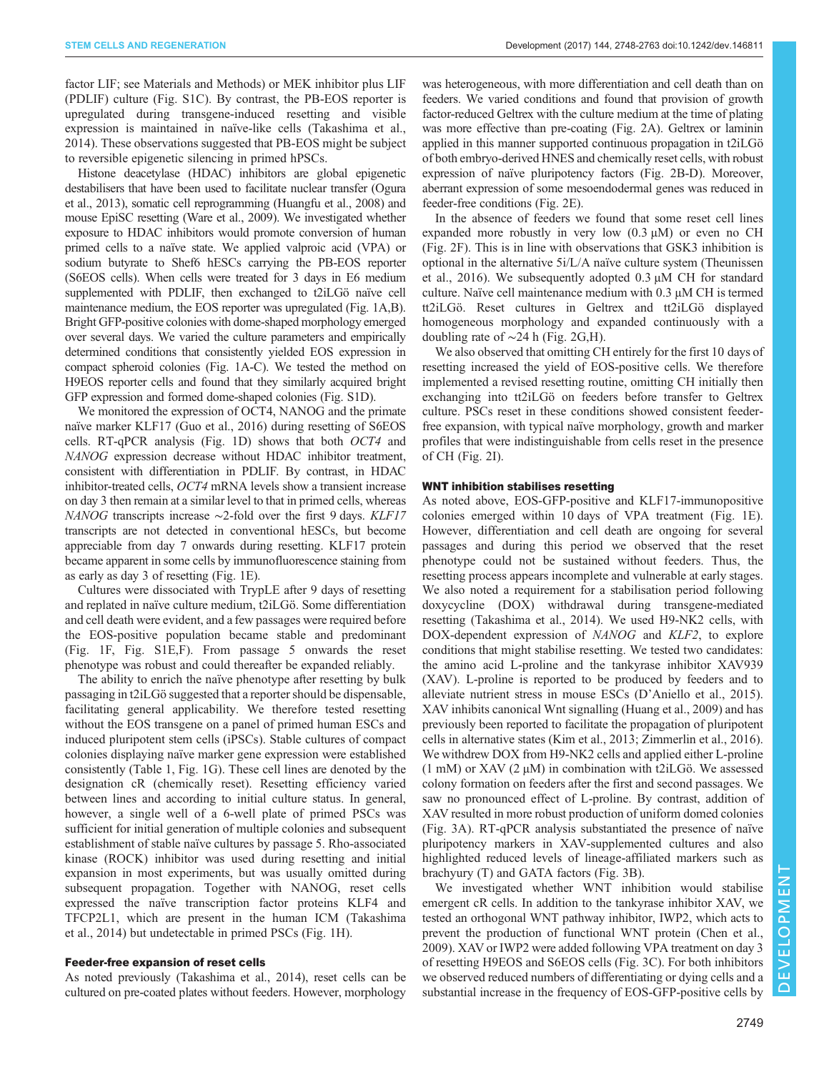factor LIF; see Materials and Methods) or MEK inhibitor plus LIF (PDLIF) culture [\(Fig. S1C](http://dev.biologists.org/lookup/doi/10.1242/dev.146811.supplemental)). By contrast, the PB-EOS reporter is upregulated during transgene-induced resetting and visible expression is maintained in naïve-like cells ([Takashima et al.,](#page-15-0) [2014](#page-15-0)). These observations suggested that PB-EOS might be subject to reversible epigenetic silencing in primed hPSCs.

Histone deacetylase (HDAC) inhibitors are global epigenetic destabilisers that have been used to facilitate nuclear transfer [\(Ogura](#page-14-0) [et al., 2013](#page-14-0)), somatic cell reprogramming [\(Huangfu et al., 2008\)](#page-14-0) and mouse EpiSC resetting [\(Ware et al., 2009](#page-15-0)). We investigated whether exposure to HDAC inhibitors would promote conversion of human primed cells to a naïve state. We applied valproic acid (VPA) or sodium butyrate to Shef6 hESCs carrying the PB-EOS reporter (S6EOS cells). When cells were treated for 3 days in E6 medium supplemented with PDLIF, then exchanged to t2iLGö naïve cell maintenance medium, the EOS reporter was upregulated [\(Fig. 1A](#page-2-0),B). Bright GFP-positive colonies with dome-shaped morphology emerged over several days. We varied the culture parameters and empirically determined conditions that consistently yielded EOS expression in compact spheroid colonies [\(Fig. 1A](#page-2-0)-C). We tested the method on H9EOS reporter cells and found that they similarly acquired bright GFP expression and formed dome-shaped colonies ([Fig. S1D\)](http://dev.biologists.org/lookup/doi/10.1242/dev.146811.supplemental).

We monitored the expression of OCT4, NANOG and the primate naïve marker KLF17 ([Guo et al., 2016](#page-14-0)) during resetting of S6EOS cells. RT-qPCR analysis ([Fig. 1](#page-2-0)D) shows that both OCT4 and NANOG expression decrease without HDAC inhibitor treatment, consistent with differentiation in PDLIF. By contrast, in HDAC inhibitor-treated cells, OCT4 mRNA levels show a transient increase on day 3 then remain at a similar level to that in primed cells, whereas NANOG transcripts increase ∼2-fold over the first 9 days. KLF17 transcripts are not detected in conventional hESCs, but become appreciable from day 7 onwards during resetting. KLF17 protein became apparent in some cells by immunofluorescence staining from as early as day 3 of resetting ([Fig. 1E](#page-2-0)).

Cultures were dissociated with TrypLE after 9 days of resetting and replated in naïve culture medium, t2iLGö. Some differentiation and cell death were evident, and a few passages were required before the EOS-positive population became stable and predominant [\(Fig. 1F](#page-2-0), [Fig. S1E,F](http://dev.biologists.org/lookup/doi/10.1242/dev.146811.supplemental)). From passage 5 onwards the reset phenotype was robust and could thereafter be expanded reliably.

The ability to enrich the naïve phenotype after resetting by bulk passaging in t2iLGö suggested that a reporter should be dispensable, facilitating general applicability. We therefore tested resetting without the EOS transgene on a panel of primed human ESCs and induced pluripotent stem cells (iPSCs). Stable cultures of compact colonies displaying naïve marker gene expression were established consistently [\(Table 1,](#page-3-0) [Fig. 1](#page-2-0)G). These cell lines are denoted by the designation cR (chemically reset). Resetting efficiency varied between lines and according to initial culture status. In general, however, a single well of a 6-well plate of primed PSCs was sufficient for initial generation of multiple colonies and subsequent establishment of stable naïve cultures by passage 5. Rho-associated kinase (ROCK) inhibitor was used during resetting and initial expansion in most experiments, but was usually omitted during subsequent propagation. Together with NANOG, reset cells expressed the naïve transcription factor proteins KLF4 and TFCP2L1, which are present in the human ICM ([Takashima](#page-15-0) [et al., 2014](#page-15-0)) but undetectable in primed PSCs [\(Fig. 1](#page-2-0)H).

# Feeder-free expansion of reset cells

As noted previously [\(Takashima et al., 2014\)](#page-15-0), reset cells can be cultured on pre-coated plates without feeders. However, morphology

was heterogeneous, with more differentiation and cell death than on feeders. We varied conditions and found that provision of growth factor-reduced Geltrex with the culture medium at the time of plating was more effective than pre-coating [\(Fig. 2](#page-4-0)A). Geltrex or laminin applied in this manner supported continuous propagation in t2iLGö of both embryo-derived HNES and chemically reset cells, with robust expression of naïve pluripotency factors [\(Fig. 2B](#page-4-0)-D). Moreover, aberrant expression of some mesoendodermal genes was reduced in feeder-free conditions [\(Fig. 2](#page-4-0)E).

In the absence of feeders we found that some reset cell lines expanded more robustly in very low (0.3 µM) or even no CH [\(Fig. 2](#page-4-0)F). This is in line with observations that GSK3 inhibition is optional in the alternative 5i/L/A naïve culture system ([Theunissen](#page-15-0) [et al., 2016\)](#page-15-0). We subsequently adopted 0.3 µM CH for standard culture. Naïve cell maintenance medium with 0.3 µM CH is termed tt2iLGö. Reset cultures in Geltrex and tt2iLGö displayed homogeneous morphology and expanded continuously with a doubling rate of ∼24 h ([Fig. 2](#page-4-0)G,H).

We also observed that omitting CH entirely for the first 10 days of resetting increased the yield of EOS-positive cells. We therefore implemented a revised resetting routine, omitting CH initially then exchanging into tt2iLGö on feeders before transfer to Geltrex culture. PSCs reset in these conditions showed consistent feederfree expansion, with typical naïve morphology, growth and marker profiles that were indistinguishable from cells reset in the presence of CH [\(Fig. 2I](#page-4-0)).

# WNT inhibition stabilises resetting

As noted above, EOS-GFP-positive and KLF17-immunopositive colonies emerged within 10 days of VPA treatment [\(Fig. 1E](#page-2-0)). However, differentiation and cell death are ongoing for several passages and during this period we observed that the reset phenotype could not be sustained without feeders. Thus, the resetting process appears incomplete and vulnerable at early stages. We also noted a requirement for a stabilisation period following doxycycline (DOX) withdrawal during transgene-mediated resetting ([Takashima et al., 2014\)](#page-15-0). We used H9-NK2 cells, with DOX-dependent expression of NANOG and KLF2, to explore conditions that might stabilise resetting. We tested two candidates: the amino acid L-proline and the tankyrase inhibitor XAV939 (XAV). L-proline is reported to be produced by feeders and to alleviate nutrient stress in mouse ESCs (D'[Aniello et al., 2015\)](#page-14-0). XAV inhibits canonical Wnt signalling [\(Huang et al., 2009\)](#page-14-0) and has previously been reported to facilitate the propagation of pluripotent cells in alternative states [\(Kim et al., 2013](#page-14-0); [Zimmerlin et al., 2016\)](#page-15-0). We withdrew DOX from H9-NK2 cells and applied either L-proline (1 mM) or XAV (2  $\mu$ M) in combination with t2iLGö. We assessed colony formation on feeders after the first and second passages. We saw no pronounced effect of L-proline. By contrast, addition of XAV resulted in more robust production of uniform domed colonies [\(Fig. 3](#page-5-0)A). RT-qPCR analysis substantiated the presence of naïve pluripotency markers in XAV-supplemented cultures and also highlighted reduced levels of lineage-affiliated markers such as brachyury (T) and GATA factors [\(Fig. 3B](#page-5-0)).

We investigated whether WNT inhibition would stabilise emergent cR cells. In addition to the tankyrase inhibitor XAV, we tested an orthogonal WNT pathway inhibitor, IWP2, which acts to prevent the production of functional WNT protein ([Chen et al.,](#page-13-0) [2009\)](#page-13-0). XAV or IWP2 were added following VPA treatment on day 3 of resetting H9EOS and S6EOS cells [\(Fig. 3](#page-5-0)C). For both inhibitors we observed reduced numbers of differentiating or dying cells and a substantial increase in the frequency of EOS-GFP-positive cells by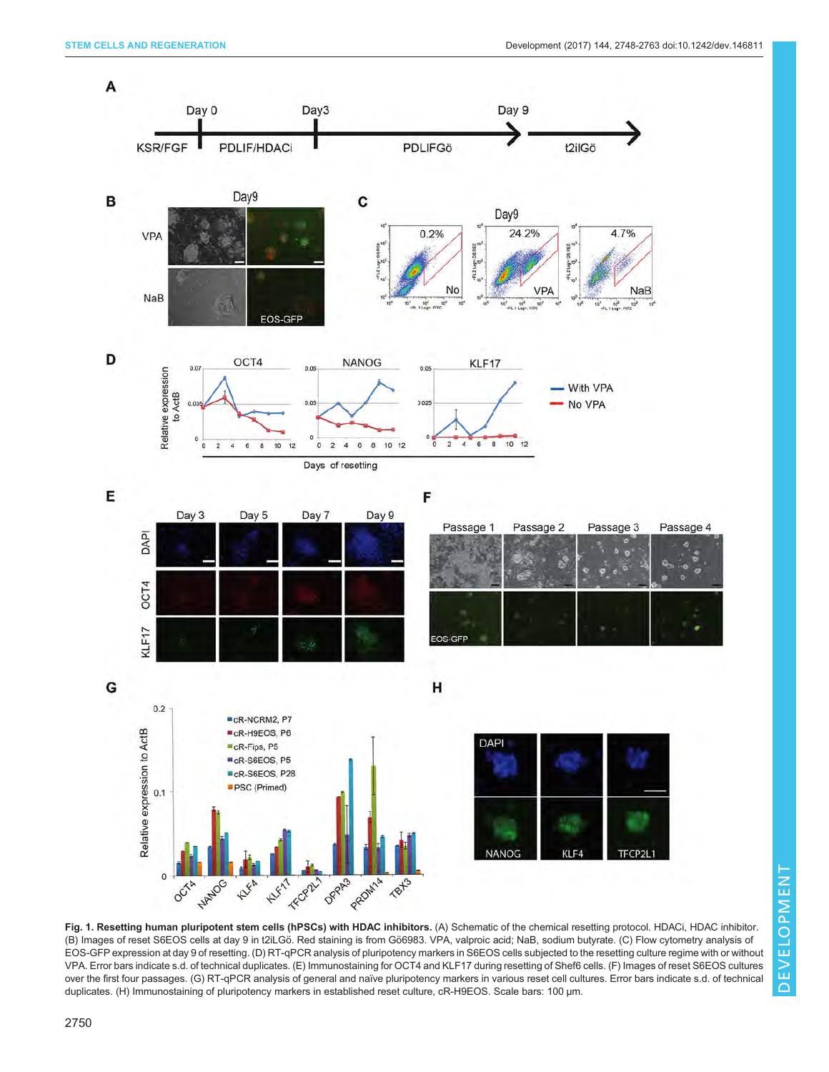<span id="page-2-0"></span>

Fig. 1. Resetting human pluripotent stem cells (hPSCs) with HDAC inhibitors. (A) Schematic of the chemical resetting protocol. HDACi, HDAC inhibitor. (B) Images of reset S6EOS cells at day 9 in t2iLGö. Red staining is from Gö6983. VPA, valproic acid; NaB, sodium butyrate. (C) Flow cytometry analysis of EOS-GFP expression at day 9 of resetting. (D) RT-qPCR analysis of pluripotency markers in S6EOS cells subjected to the resetting culture regime with or without VPA. Error bars indicate s.d. of technical duplicates. (E) Immunostaining for OCT4 and KLF17 during resetting of Shef6 cells. (F) Images of reset S6EOS cultures over the first four passages. (G) RT-qPCR analysis of general and naïve pluripotency markers in various reset cell cultures. Error bars indicate s.d. of technical duplicates. (H) Immunostaining of pluripotency markers in established reset culture, cR-H9EOS. Scale bars: 100 μm.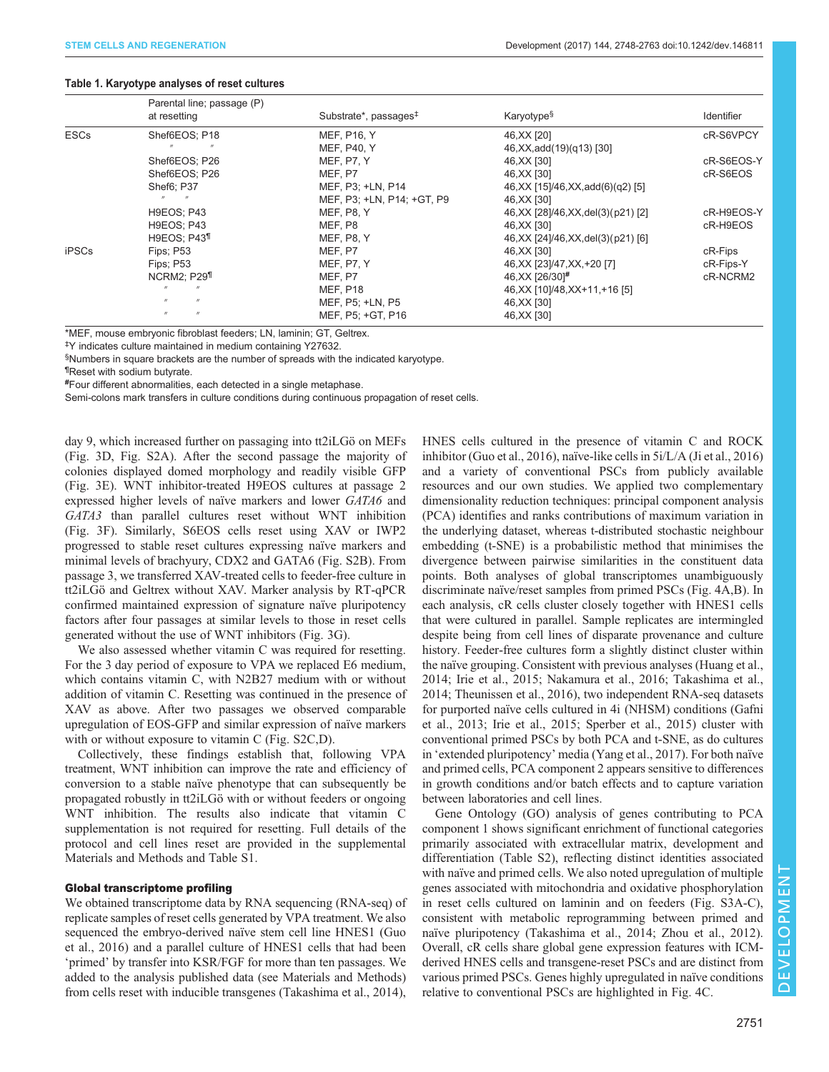#### <span id="page-3-0"></span>STEM CELLS AND REGENERATION Development (2017) 144, 2748-2763 doi:10.1242/dev.146811

#### Table 1. Karyotype analyses of reset cultures

|              | Parental line; passage (P)      |                                   | Karyotype <sup>§</sup>                 |                   |
|--------------|---------------------------------|-----------------------------------|----------------------------------------|-------------------|
|              | at resetting                    | Substrate*, passages <sup>‡</sup> |                                        | <b>Identifier</b> |
| <b>ESCs</b>  | Shef6EOS: P18                   | MEF, P16, Y                       | 46, XX [20]                            | cR-S6VPCY         |
|              |                                 | MEF, P40, Y                       | 46, XX, add (19) (q13) [30]            |                   |
|              | Shef6EOS; P26                   | MEF, P7, Y                        | 46, XX [30]                            | cR-S6EOS-Y        |
|              | Shef6EOS; P26                   | MEF. P7                           | 46, XX [30]                            | cR-S6EOS          |
|              | Shef6; P37                      | MEF. P3: +LN. P14                 | 46, XX [15]/46, XX, add(6)(q2) [5]     |                   |
|              |                                 | MEF, P3; +LN, P14; +GT, P9        | 46, XX [30]                            |                   |
|              | H9EOS; P43                      | MEF, P8, Y                        | 46, XX [28]/46, XX, del(3)(p21) [2]    | cR-H9EOS-Y        |
|              | H9EOS; P43                      | MEF, P8                           | 46, XX [30]                            | cR-H9EOS          |
|              | <b>H9EOS</b> ; P43 <sup>1</sup> | MEF, P8, Y                        | 46, XX [24] / 46, XX, del(3) (p21) [6] |                   |
| <b>iPSCs</b> | Fips: P53                       | MEF, P7                           | 46, XX [30]                            | cR-Fips           |
|              | Fips: P53                       | MEF, P7, Y                        | 46, XX [23]/47, XX, +20 [7]            | cR-Fips-Y         |
|              | NCRM2: P29 <sup>1</sup>         | MEF, P7                           | 46, XX [26/30] <sup>#</sup>            | cR-NCRM2          |
|              |                                 | <b>MEF, P18</b>                   | 46, XX [10]/48, XX + 11, + 16 [5]      |                   |
|              | $^{\prime\prime}$               | MEF, P5; +LN, P5                  | 46, XX [30]                            |                   |
|              |                                 | MEF, P5; +GT, P16                 | 46, XX [30]                            |                   |

\*MEF, mouse embryonic fibroblast feeders; LN, laminin; GT, Geltrex.

‡ Y indicates culture maintained in medium containing Y27632.

§ Numbers in square brackets are the number of spreads with the indicated karyotype.

¶ Reset with sodium butyrate.

# Four different abnormalities, each detected in a single metaphase.

Semi-colons mark transfers in culture conditions during continuous propagation of reset cells.

day 9, which increased further on passaging into tt2iLGö on MEFs [\(Fig. 3](#page-5-0)D, [Fig. S2A](http://dev.biologists.org/lookup/doi/10.1242/dev.146811.supplemental)). After the second passage the majority of colonies displayed domed morphology and readily visible GFP [\(Fig. 3](#page-5-0)E). WNT inhibitor-treated H9EOS cultures at passage 2 expressed higher levels of naïve markers and lower GATA6 and GATA3 than parallel cultures reset without WNT inhibition [\(Fig. 3](#page-5-0)F). Similarly, S6EOS cells reset using XAV or IWP2 progressed to stable reset cultures expressing naïve markers and minimal levels of brachyury, CDX2 and GATA6 ([Fig. S2B\)](http://dev.biologists.org/lookup/doi/10.1242/dev.146811.supplemental). From passage 3, we transferred XAV-treated cells to feeder-free culture in tt2iLGö and Geltrex without XAV. Marker analysis by RT-qPCR confirmed maintained expression of signature naïve pluripotency factors after four passages at similar levels to those in reset cells generated without the use of WNT inhibitors [\(Fig. 3G](#page-5-0)).

We also assessed whether vitamin C was required for resetting. For the 3 day period of exposure to VPA we replaced E6 medium, which contains vitamin C, with N2B27 medium with or without addition of vitamin C. Resetting was continued in the presence of XAV as above. After two passages we observed comparable upregulation of EOS-GFP and similar expression of naïve markers with or without exposure to vitamin C [\(Fig. S2C,D](http://dev.biologists.org/lookup/doi/10.1242/dev.146811.supplemental)).

Collectively, these findings establish that, following VPA treatment, WNT inhibition can improve the rate and efficiency of conversion to a stable naïve phenotype that can subsequently be propagated robustly in tt2iLGö with or without feeders or ongoing WNT inhibition. The results also indicate that vitamin C supplementation is not required for resetting. Full details of the protocol and cell lines reset are provided in the [supplemental](http://dev.biologists.org/lookup/doi/10.1242/dev.146811.supplemental) [Materials and Methods and Table S1](http://dev.biologists.org/lookup/doi/10.1242/dev.146811.supplemental).

#### Global transcriptome profiling

We obtained transcriptome data by RNA sequencing (RNA-seq) of replicate samples of reset cells generated by VPA treatment. We also sequenced the embryo-derived naïve stem cell line HNES1 ([Guo](#page-14-0) [et al., 2016\)](#page-14-0) and a parallel culture of HNES1 cells that had been ʻprimed' by transfer into KSR/FGF for more than ten passages. We added to the analysis published data (see Materials and Methods) from cells reset with inducible transgenes [\(Takashima et al., 2014\)](#page-15-0), HNES cells cultured in the presence of vitamin C and ROCK inhibitor [\(Guo et al., 2016](#page-14-0)), naïve-like cells in 5i/L/A [\(Ji et al., 2016\)](#page-14-0) and a variety of conventional PSCs from publicly available resources and our own studies. We applied two complementary dimensionality reduction techniques: principal component analysis (PCA) identifies and ranks contributions of maximum variation in the underlying dataset, whereas t-distributed stochastic neighbour embedding (t-SNE) is a probabilistic method that minimises the divergence between pairwise similarities in the constituent data points. Both analyses of global transcriptomes unambiguously discriminate naïve/reset samples from primed PSCs ([Fig. 4A](#page-6-0),B). In each analysis, cR cells cluster closely together with HNES1 cells that were cultured in parallel. Sample replicates are intermingled despite being from cell lines of disparate provenance and culture history. Feeder-free cultures form a slightly distinct cluster within the naïve grouping. Consistent with previous analyses ([Huang et al.,](#page-14-0) [2014; Irie et al., 2015](#page-14-0); [Nakamura et al., 2016](#page-14-0); [Takashima et al.,](#page-15-0) [2014; Theunissen et al., 2016](#page-15-0)), two independent RNA-seq datasets for purported naïve cells cultured in 4i (NHSM) conditions ([Gafni](#page-14-0) [et al., 2013](#page-14-0); [Irie et al., 2015](#page-14-0); [Sperber et al., 2015](#page-15-0)) cluster with conventional primed PSCs by both PCA and t-SNE, as do cultures in ʻextended pluripotency' media [\(Yang et al., 2017](#page-15-0)). For both naïve and primed cells, PCA component 2 appears sensitive to differences in growth conditions and/or batch effects and to capture variation between laboratories and cell lines.

Gene Ontology (GO) analysis of genes contributing to PCA component 1 shows significant enrichment of functional categories primarily associated with extracellular matrix, development and differentiation [\(Table S2](http://dev.biologists.org/lookup/doi/10.1242/dev.146811.supplemental)), reflecting distinct identities associated with naïve and primed cells. We also noted upregulation of multiple genes associated with mitochondria and oxidative phosphorylation in reset cells cultured on laminin and on feeders [\(Fig. S3A-C\)](http://dev.biologists.org/lookup/doi/10.1242/dev.146811.supplemental), consistent with metabolic reprogramming between primed and naïve pluripotency [\(Takashima et al., 2014](#page-15-0); [Zhou et al., 2012\)](#page-15-0). Overall, cR cells share global gene expression features with ICMderived HNES cells and transgene-reset PSCs and are distinct from various primed PSCs. Genes highly upregulated in naïve conditions relative to conventional PSCs are highlighted in [Fig. 4](#page-6-0)C.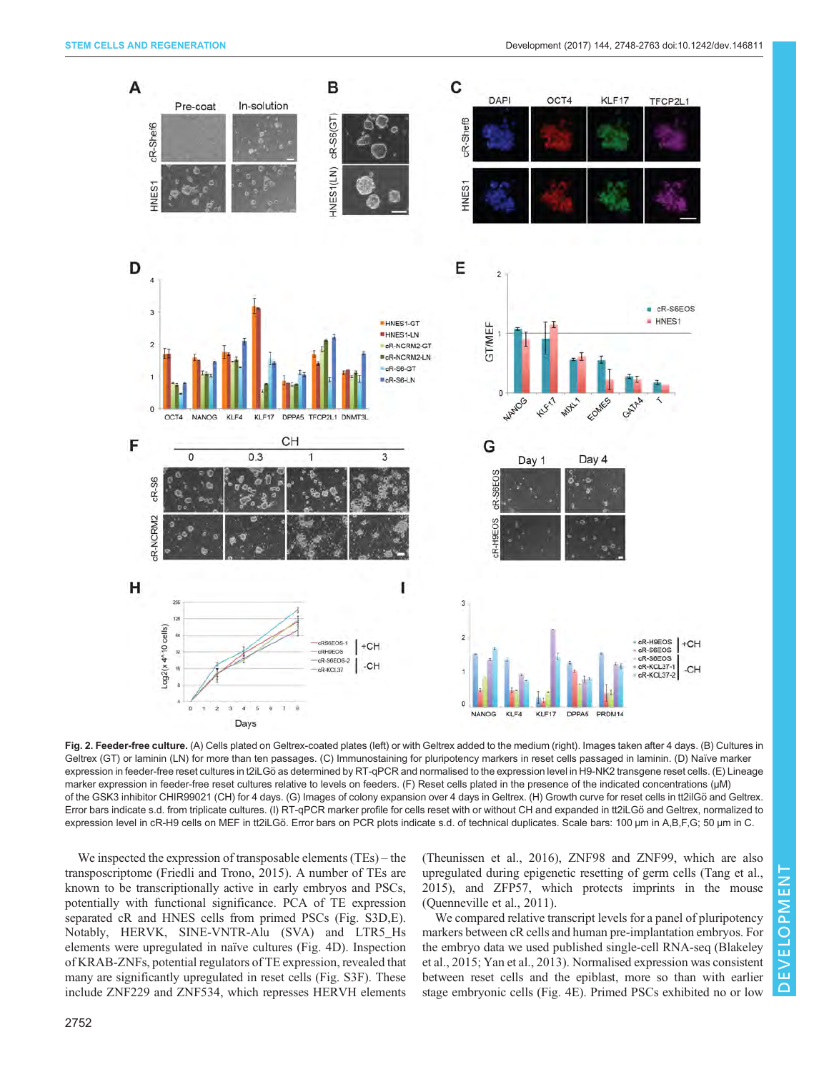<span id="page-4-0"></span>

Fig. 2. Feeder-free culture. (A) Cells plated on Geltrex-coated plates (left) or with Geltrex added to the medium (right). Images taken after 4 days. (B) Cultures in Geltrex (GT) or laminin (LN) for more than ten passages. (C) Immunostaining for pluripotency markers in reset cells passaged in laminin. (D) Naïve marker expression in feeder-free reset cultures in t2iLGö as determined by RT-qPCR and normalised to the expression level in H9-NK2 transgene reset cells. (E) Lineage marker expression in feeder-free reset cultures relative to levels on feeders. (F) Reset cells plated in the presence of the indicated concentrations (µM) of the GSK3 inhibitor CHIR99021 (CH) for 4 days. (G) Images of colony expansion over 4 days in Geltrex. (H) Growth curve for reset cells in tt2ilGö and Geltrex. Error bars indicate s.d. from triplicate cultures. (I) RT-qPCR marker profile for cells reset with or without CH and expanded in tt2iLGö and Geltrex, normalized to expression level in cR-H9 cells on MEF in tt2iLGö. Error bars on PCR plots indicate s.d. of technical duplicates. Scale bars: 100 μm in A,B,F,G; 50 μm in C.

We inspected the expression of transposable elements (TEs) – the transposcriptome ([Friedli and Trono, 2015](#page-14-0)). A number of TEs are known to be transcriptionally active in early embryos and PSCs, potentially with functional significance. PCA of TE expression separated cR and HNES cells from primed PSCs [\(Fig. S3D,E\)](http://dev.biologists.org/lookup/doi/10.1242/dev.146811.supplemental). Notably, HERVK, SINE-VNTR-Alu (SVA) and LTR5\_Hs elements were upregulated in naïve cultures [\(Fig. 4](#page-6-0)D). Inspection of KRAB-ZNFs, potential regulators of TE expression, revealed that many are significantly upregulated in reset cells [\(Fig. S3F](http://dev.biologists.org/lookup/doi/10.1242/dev.146811.supplemental)). These include ZNF229 and ZNF534, which represses HERVH elements [\(Theunissen et al., 2016\)](#page-15-0), ZNF98 and ZNF99, which are also upregulated during epigenetic resetting of germ cells [\(Tang et al.,](#page-15-0) [2015\)](#page-15-0), and ZFP57, which protects imprints in the mouse [\(Quenneville et al., 2011](#page-14-0)).

We compared relative transcript levels for a panel of pluripotency markers between cR cells and human pre-implantation embryos. For the embryo data we used published single-cell RNA-seq ([Blakeley](#page-13-0) [et al., 2015;](#page-13-0) [Yan et al., 2013\)](#page-15-0). Normalised expression was consistent between reset cells and the epiblast, more so than with earlier stage embryonic cells ([Fig. 4](#page-6-0)E). Primed PSCs exhibited no or low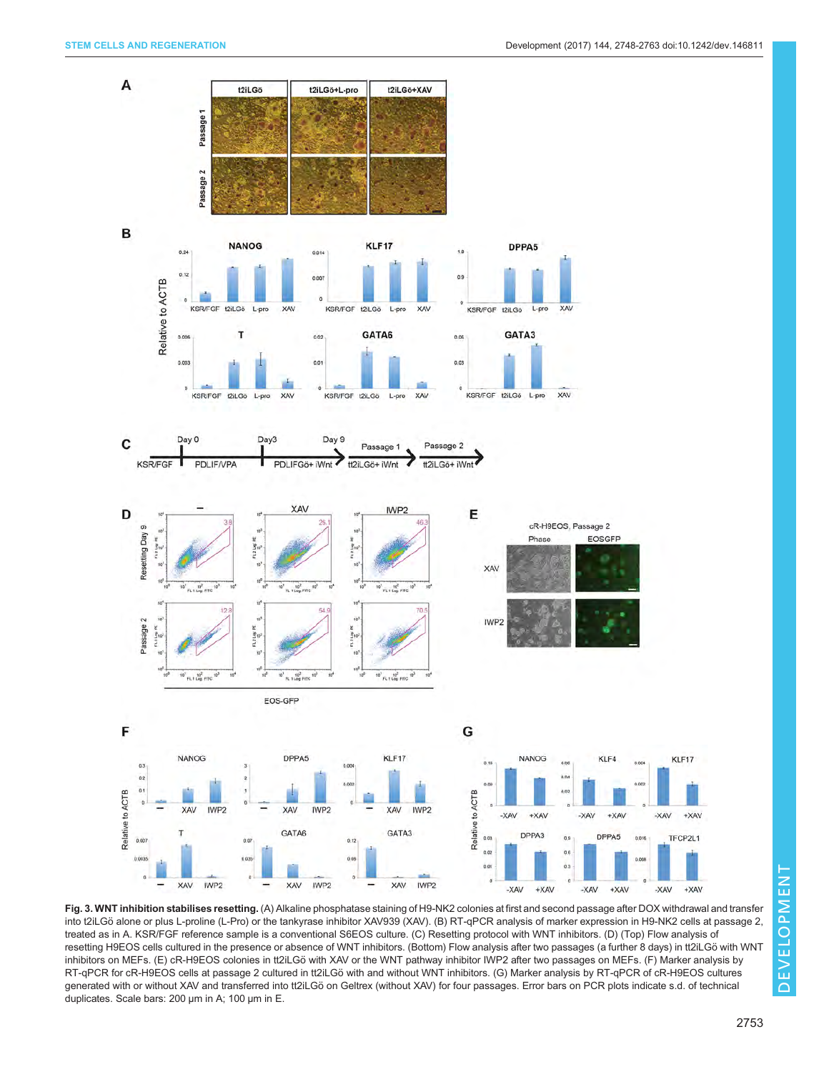<span id="page-5-0"></span>

Fig. 3. WNT inhibition stabilises resetting. (A) Alkaline phosphatase staining of H9-NK2 colonies at first and second passage after DOX withdrawal and transfer into t2iLGö alone or plus L-proline (L-Pro) or the tankyrase inhibitor XAV939 (XAV). (B) RT-qPCR analysis of marker expression in H9-NK2 cells at passage 2, treated as in A. KSR/FGF reference sample is a conventional S6EOS culture. (C) Resetting protocol with WNT inhibitors. (D) (Top) Flow analysis of resetting H9EOS cells cultured in the presence or absence of WNT inhibitors. (Bottom) Flow analysis after two passages (a further 8 days) in tt2iLGö with WNT inhibitors on MEFs. (E) cR-H9EOS colonies in tt2iLGö with XAV or the WNT pathway inhibitor IWP2 after two passages on MEFs. (F) Marker analysis by RT-qPCR for cR-H9EOS cells at passage 2 cultured in tt2iLGö with and without WNT inhibitors. (G) Marker analysis by RT-qPCR of cR-H9EOS cultures generated with or without XAV and transferred into tt2iLGö on Geltrex (without XAV) for four passages. Error bars on PCR plots indicate s.d. of technical duplicates. Scale bars: 200 μm in A; 100 μm in E.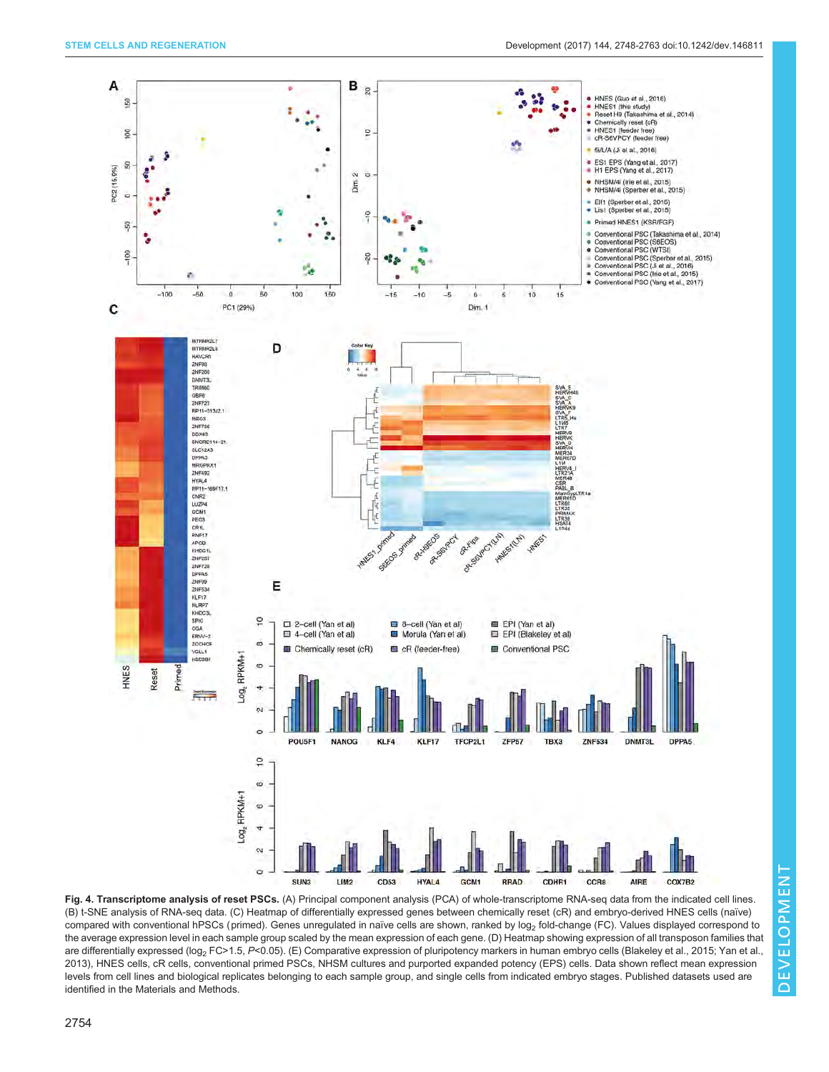<span id="page-6-0"></span>

Fig. 4. Transcriptome analysis of reset PSCs. (A) Principal component analysis (PCA) of whole-transcriptome RNA-seq data from the indicated cell lines. (B) t-SNE analysis of RNA-seq data. (C) Heatmap of differentially expressed genes between chemically reset (cR) and embryo-derived HNES cells (naïve) compared with conventional hPSCs (primed). Genes unregulated in naïve cells are shown, ranked by log<sub>2</sub> fold-change (FC). Values displayed correspond to the average expression level in each sample group scaled by the mean expression of each gene. (D) Heatmap showing expression of all transposon families that are differentially expressed (log<sub>2</sub> FC>1.5, P<0.05). (E) Comparative expression of pluripotency markers in human embryo cells ([Blakeley et al., 2015](#page-13-0); [Yan et al.,](#page-15-0) [2013\)](#page-15-0), HNES cells, cR cells, conventional primed PSCs, NHSM cultures and purported expanded potency (EPS) cells. Data shown reflect mean expression levels from cell lines and biological replicates belonging to each sample group, and single cells from indicated embryo stages. Published datasets used are identified in the Materials and Methods.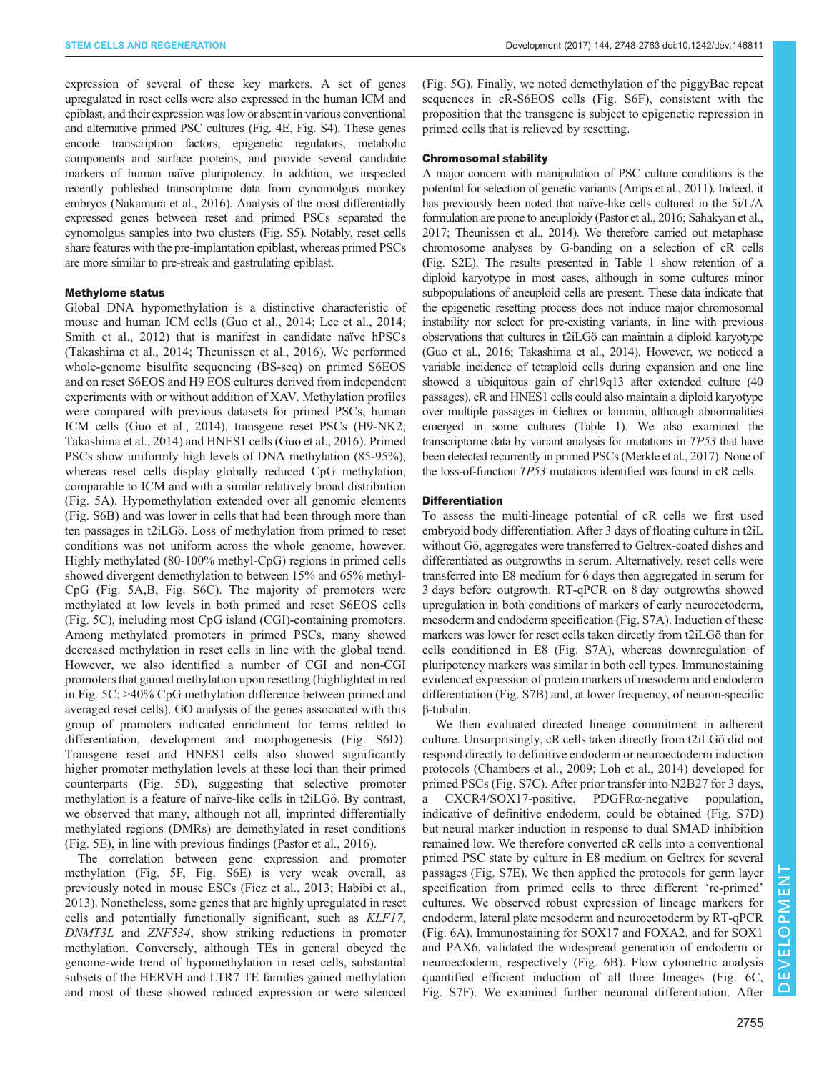expression of several of these key markers. A set of genes upregulated in reset cells were also expressed in the human ICM and epiblast, and their expression was low or absent in various conventional and alternative primed PSC cultures ([Fig. 4](#page-6-0)E, [Fig. S4](http://dev.biologists.org/lookup/doi/10.1242/dev.146811.supplemental)). These genes encode transcription factors, epigenetic regulators, metabolic components and surface proteins, and provide several candidate markers of human naïve pluripotency. In addition, we inspected recently published transcriptome data from cynomolgus monkey embryos [\(Nakamura et al., 2016\)](#page-14-0). Analysis of the most differentially expressed genes between reset and primed PSCs separated the cynomolgus samples into two clusters ([Fig. S5](http://dev.biologists.org/lookup/doi/10.1242/dev.146811.supplemental)). Notably, reset cells share features with the pre-implantation epiblast, whereas primed PSCs are more similar to pre-streak and gastrulating epiblast.

# Methylome status

Global DNA hypomethylation is a distinctive characteristic of mouse and human ICM cells ([Guo et al., 2014](#page-14-0); [Lee et al., 2014](#page-14-0); Smith et al., 2012) that is manifest in candidate naïve hPSCs [\(Takashima et al., 2014; Theunissen et al., 2016\)](#page-15-0). We performed whole-genome bisulfite sequencing (BS-seq) on primed S6EOS and on reset S6EOS and H9 EOS cultures derived from independent experiments with or without addition of XAV. Methylation profiles were compared with previous datasets for primed PSCs, human ICM cells [\(Guo et al., 2014](#page-14-0)), transgene reset PSCs (H9-NK2; [Takashima et al., 2014](#page-15-0)) and HNES1 cells [\(Guo et al., 2016](#page-14-0)). Primed PSCs show uniformly high levels of DNA methylation (85-95%), whereas reset cells display globally reduced CpG methylation, comparable to ICM and with a similar relatively broad distribution [\(Fig. 5](#page-8-0)A). Hypomethylation extended over all genomic elements [\(Fig. S6B\)](http://dev.biologists.org/lookup/doi/10.1242/dev.146811.supplemental) and was lower in cells that had been through more than ten passages in t2iLGö. Loss of methylation from primed to reset conditions was not uniform across the whole genome, however. Highly methylated (80-100% methyl-CpG) regions in primed cells showed divergent demethylation to between 15% and 65% methyl-CpG [\(Fig. 5](#page-8-0)A,B, [Fig. S6C\)](http://dev.biologists.org/lookup/doi/10.1242/dev.146811.supplemental). The majority of promoters were methylated at low levels in both primed and reset S6EOS cells [\(Fig. 5](#page-8-0)C), including most CpG island (CGI)-containing promoters. Among methylated promoters in primed PSCs, many showed decreased methylation in reset cells in line with the global trend. However, we also identified a number of CGI and non-CGI promoters that gained methylation upon resetting (highlighted in red in [Fig. 5C](#page-8-0); >40% CpG methylation difference between primed and averaged reset cells). GO analysis of the genes associated with this group of promoters indicated enrichment for terms related to differentiation, development and morphogenesis [\(Fig. S6D\)](http://dev.biologists.org/lookup/doi/10.1242/dev.146811.supplemental). Transgene reset and HNES1 cells also showed significantly higher promoter methylation levels at these loci than their primed counterparts ([Fig. 5D](#page-8-0)), suggesting that selective promoter methylation is a feature of naïve-like cells in t2iLGö. By contrast, we observed that many, although not all, imprinted differentially methylated regions (DMRs) are demethylated in reset conditions [\(Fig. 5](#page-8-0)E), in line with previous findings ([Pastor et al., 2016\)](#page-14-0).

The correlation between gene expression and promoter methylation [\(Fig. 5](#page-8-0)F, [Fig. S6E\)](http://dev.biologists.org/lookup/doi/10.1242/dev.146811.supplemental) is very weak overall, as previously noted in mouse ESCs ([Ficz et al., 2013; Habibi et al.,](#page-14-0) [2013](#page-14-0)). Nonetheless, some genes that are highly upregulated in reset cells and potentially functionally significant, such as KLF17, DNMT3L and ZNF534, show striking reductions in promoter methylation. Conversely, although TEs in general obeyed the genome-wide trend of hypomethylation in reset cells, substantial subsets of the HERVH and LTR7 TE families gained methylation and most of these showed reduced expression or were silenced

[\(Fig. 5G](#page-8-0)). Finally, we noted demethylation of the piggyBac repeat sequences in cR-S6EOS cells ([Fig. S6F\)](http://dev.biologists.org/lookup/doi/10.1242/dev.146811.supplemental), consistent with the proposition that the transgene is subject to epigenetic repression in primed cells that is relieved by resetting.

# Chromosomal stability

A major concern with manipulation of PSC culture conditions is the potential for selection of genetic variants [\(Amps et al., 2011](#page-13-0)). Indeed, it has previously been noted that naïve-like cells cultured in the 5i/L/A formulation are prone to aneuploidy ([Pastor et al., 2016](#page-14-0); [Sahakyan et al.,](#page-15-0) [2017; Theunissen et al., 2014](#page-15-0)). We therefore carried out metaphase chromosome analyses by G-banding on a selection of cR cells [\(Fig. S2E\)](http://dev.biologists.org/lookup/doi/10.1242/dev.146811.supplemental). The results presented in [Table 1](#page-3-0) show retention of a diploid karyotype in most cases, although in some cultures minor subpopulations of aneuploid cells are present. These data indicate that the epigenetic resetting process does not induce major chromosomal instability nor select for pre-existing variants, in line with previous observations that cultures in t2iLGö can maintain a diploid karyotype [\(Guo et al., 2016;](#page-14-0) [Takashima et al., 2014\)](#page-15-0). However, we noticed a variable incidence of tetraploid cells during expansion and one line showed a ubiquitous gain of chr19q13 after extended culture (40 passages). cR and HNES1 cells could also maintain a diploid karyotype over multiple passages in Geltrex or laminin, although abnormalities emerged in some cultures [\(Table 1\)](#page-3-0). We also examined the transcriptome data by variant analysis for mutations in TP53 that have been detected recurrently in primed PSCs [\(Merkle et al., 2017\)](#page-14-0). None of the loss-of-function TP53 mutations identified was found in cR cells.

# **Differentiation**

To assess the multi-lineage potential of cR cells we first used embryoid body differentiation. After 3 days of floating culture in t2iL without Gö, aggregates were transferred to Geltrex-coated dishes and differentiated as outgrowths in serum. Alternatively, reset cells were transferred into E8 medium for 6 days then aggregated in serum for 3 days before outgrowth. RT-qPCR on 8 day outgrowths showed upregulation in both conditions of markers of early neuroectoderm, mesoderm and endoderm specification [\(Fig. S7A](http://dev.biologists.org/lookup/doi/10.1242/dev.146811.supplemental)). Induction of these markers was lower for reset cells taken directly from t2iLGö than for cells conditioned in E8 ([Fig. S7A\)](http://dev.biologists.org/lookup/doi/10.1242/dev.146811.supplemental), whereas downregulation of pluripotency markers was similar in both cell types. Immunostaining evidenced expression of protein markers of mesoderm and endoderm differentiation [\(Fig. S7B\)](http://dev.biologists.org/lookup/doi/10.1242/dev.146811.supplemental) and, at lower frequency, of neuron-specific β-tubulin.

We then evaluated directed lineage commitment in adherent culture. Unsurprisingly, cR cells taken directly from t2iLGö did not respond directly to definitive endoderm or neuroectoderm induction protocols [\(Chambers et al., 2009;](#page-13-0) [Loh et al., 2014](#page-14-0)) developed for primed PSCs [\(Fig. S7C](http://dev.biologists.org/lookup/doi/10.1242/dev.146811.supplemental)). After prior transfer into N2B27 for 3 days, a CXCR4/SOX17-positive, PDGFRα-negative population, indicative of definitive endoderm, could be obtained [\(Fig. S7D\)](http://dev.biologists.org/lookup/doi/10.1242/dev.146811.supplemental) but neural marker induction in response to dual SMAD inhibition remained low. We therefore converted cR cells into a conventional primed PSC state by culture in E8 medium on Geltrex for several passages ([Fig. S7E](http://dev.biologists.org/lookup/doi/10.1242/dev.146811.supplemental)). We then applied the protocols for germ layer specification from primed cells to three different ʻre-primed' cultures. We observed robust expression of lineage markers for endoderm, lateral plate mesoderm and neuroectoderm by RT-qPCR [\(Fig. 6](#page-9-0)A). Immunostaining for SOX17 and FOXA2, and for SOX1 and PAX6, validated the widespread generation of endoderm or neuroectoderm, respectively ([Fig. 6B](#page-9-0)). Flow cytometric analysis quantified efficient induction of all three lineages [\(Fig. 6](#page-9-0)C, [Fig. S7F](http://dev.biologists.org/lookup/doi/10.1242/dev.146811.supplemental)). We examined further neuronal differentiation. After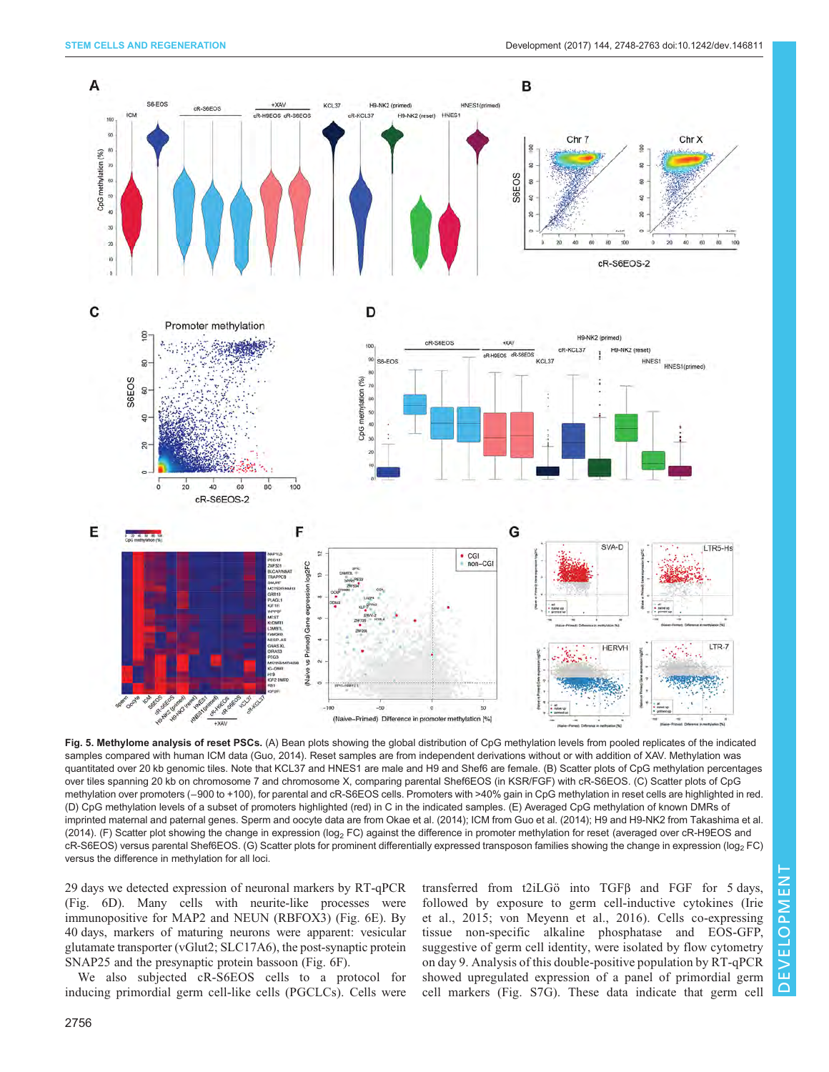<span id="page-8-0"></span>

Fig. 5. Methylome analysis of reset PSCs. (A) Bean plots showing the global distribution of CpG methylation levels from pooled replicates of the indicated samples compared with human ICM data (Guo, 2014). Reset samples are from independent derivations without or with addition of XAV. Methylation was quantitated over 20 kb genomic tiles. Note that KCL37 and HNES1 are male and H9 and Shef6 are female. (B) Scatter plots of CpG methylation percentages over tiles spanning 20 kb on chromosome 7 and chromosome X, comparing parental Shef6EOS (in KSR/FGF) with cR-S6EOS. (C) Scatter plots of CpG methylation over promoters (−900 to +100), for parental and cR-S6EOS cells. Promoters with >40% gain in CpG methylation in reset cells are highlighted in red. (D) CpG methylation levels of a subset of promoters highlighted (red) in C in the indicated samples. (E) Averaged CpG methylation of known DMRs of imprinted maternal and paternal genes. Sperm and oocyte data are from Okae et al. (2014); ICM from [Guo et al. \(2014\)](#page-14-0); H9 and H9-NK2 from [Takashima et al.](#page-15-0) [\(2014\)](#page-15-0). (F) Scatter plot showing the change in expression (log<sub>2</sub> FC) against the difference in promoter methylation for reset (averaged over cR-H9EOS and cR-S6EOS) versus parental Shef6EOS. (G) Scatter plots for prominent differentially expressed transposon families showing the change in expression (log<sub>2</sub> FC) versus the difference in methylation for all loci.

29 days we detected expression of neuronal markers by RT-qPCR [\(Fig. 6D](#page-9-0)). Many cells with neurite-like processes were immunopositive for MAP2 and NEUN (RBFOX3) [\(Fig. 6](#page-9-0)E). By 40 days, markers of maturing neurons were apparent: vesicular glutamate transporter (vGlut2; SLC17A6), the post-synaptic protein SNAP25 and the presynaptic protein bassoon ([Fig. 6](#page-9-0)F).

We also subjected cR-S6EOS cells to a protocol for inducing primordial germ cell-like cells (PGCLCs). Cells were transferred from t2iLGö into TGFβ and FGF for 5 days, followed by exposure to germ cell-inductive cytokines ([Irie](#page-14-0) [et al., 2015](#page-14-0); [von Meyenn et al., 2016\)](#page-15-0). Cells co-expressing tissue non-specific alkaline phosphatase and EOS-GFP, suggestive of germ cell identity, were isolated by flow cytometry on day 9. Analysis of this double-positive population by RT-qPCR showed upregulated expression of a panel of primordial germ cell markers ([Fig. S7G\)](http://dev.biologists.org/lookup/doi/10.1242/dev.146811.supplemental). These data indicate that germ cell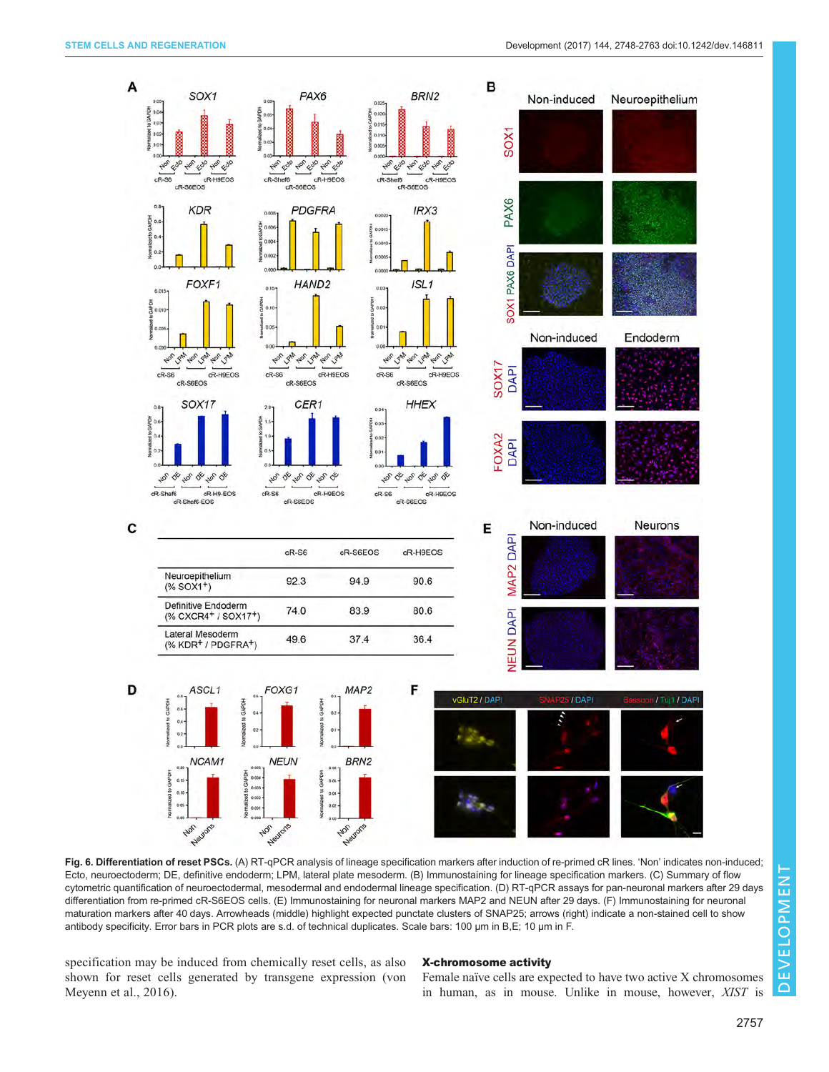<span id="page-9-0"></span>

Fig. 6. Differentiation of reset PSCs. (A) RT-qPCR analysis of lineage specification markers after induction of re-primed cR lines. 'Non' indicates non-induced; Ecto, neuroectoderm; DE, definitive endoderm; LPM, lateral plate mesoderm. (B) Immunostaining for lineage specification markers. (C) Summary of flow cytometric quantification of neuroectodermal, mesodermal and endodermal lineage specification. (D) RT-qPCR assays for pan-neuronal markers after 29 days differentiation from re-primed cR-S6EOS cells. (E) Immunostaining for neuronal markers MAP2 and NEUN after 29 days. (F) Immunostaining for neuronal maturation markers after 40 days. Arrowheads (middle) highlight expected punctate clusters of SNAP25; arrows (right) indicate a non-stained cell to show antibody specificity. Error bars in PCR plots are s.d. of technical duplicates. Scale bars: 100 µm in B,E; 10 µm in F.

specification may be induced from chemically reset cells, as also shown for reset cells generated by transgene expression ([von](#page-15-0) [Meyenn et al., 2016](#page-15-0)).

# X-chromosome activity

Female naïve cells are expected to have two active X chromosomes in human, as in mouse. Unlike in mouse, however, XIST is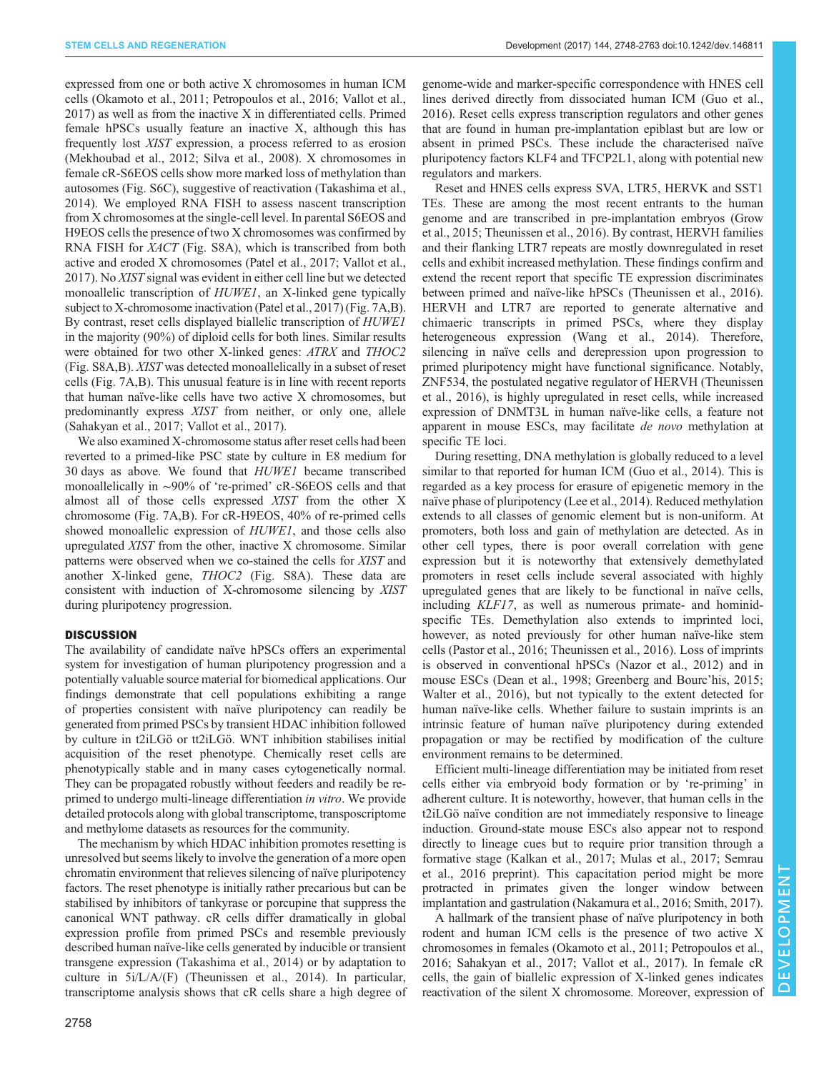expressed from one or both active X chromosomes in human ICM cells ([Okamoto et al., 2011; Petropoulos et al., 2016;](#page-14-0) [Vallot et al.,](#page-15-0) [2017](#page-15-0)) as well as from the inactive X in differentiated cells. Primed female hPSCs usually feature an inactive X, although this has frequently lost XIST expression, a process referred to as erosion [\(Mekhoubad et al., 2012](#page-14-0); [Silva et al., 2008\)](#page-15-0). X chromosomes in female cR-S6EOS cells show more marked loss of methylation than autosomes [\(Fig. S6C\)](http://dev.biologists.org/lookup/doi/10.1242/dev.146811.supplemental), suggestive of reactivation ([Takashima et al.,](#page-15-0) [2014](#page-15-0)). We employed RNA FISH to assess nascent transcription from X chromosomes at the single-cell level. In parental S6EOS and H9EOS cells the presence of two X chromosomes was confirmed by RNA FISH for XACT ([Fig. S8A\)](http://dev.biologists.org/lookup/doi/10.1242/dev.146811.supplemental), which is transcribed from both active and eroded X chromosomes [\(Patel et al., 2017;](#page-14-0) [Vallot et al.,](#page-15-0) [2017](#page-15-0)). No XIST signal was evident in either cell line but we detected monoallelic transcription of *HUWE1*, an X-linked gene typically subject to X-chromosome inactivation [\(Patel et al., 2017\)](#page-14-0) [\(Fig. 7](#page-11-0)A,B). By contrast, reset cells displayed biallelic transcription of HUWE1 in the majority (90%) of diploid cells for both lines. Similar results were obtained for two other X-linked genes: ATRX and THOC2 [\(Fig. S8A,B\)](http://dev.biologists.org/lookup/doi/10.1242/dev.146811.supplemental). XIST was detected monoallelically in a subset of reset cells ([Fig. 7A](#page-11-0),B). This unusual feature is in line with recent reports that human naïve-like cells have two active X chromosomes, but predominantly express XIST from neither, or only one, allele [\(Sahakyan et al., 2017; Vallot et al., 2017\)](#page-15-0).

We also examined X-chromosome status after reset cells had been reverted to a primed-like PSC state by culture in E8 medium for 30 days as above. We found that HUWE1 became transcribed monoallelically in ∼90% of ʻre-primed' cR-S6EOS cells and that almost all of those cells expressed XIST from the other X chromosome [\(Fig. 7A](#page-11-0),B). For cR-H9EOS, 40% of re-primed cells showed monoallelic expression of  $HUWE1$ , and those cells also upregulated XIST from the other, inactive X chromosome. Similar patterns were observed when we co-stained the cells for XIST and another X-linked gene, THOC2 [\(Fig. S8A](http://dev.biologists.org/lookup/doi/10.1242/dev.146811.supplemental)). These data are consistent with induction of X-chromosome silencing by XIST during pluripotency progression.

# **DISCUSSION**

The availability of candidate naïve hPSCs offers an experimental system for investigation of human pluripotency progression and a potentially valuable source material for biomedical applications. Our findings demonstrate that cell populations exhibiting a range of properties consistent with naïve pluripotency can readily be generated from primed PSCs by transient HDAC inhibition followed by culture in t2iLGö or tt2iLGö. WNT inhibition stabilises initial acquisition of the reset phenotype. Chemically reset cells are phenotypically stable and in many cases cytogenetically normal. They can be propagated robustly without feeders and readily be reprimed to undergo multi-lineage differentiation in vitro. We provide detailed protocols along with global transcriptome, transposcriptome and methylome datasets as resources for the community.

The mechanism by which HDAC inhibition promotes resetting is unresolved but seems likely to involve the generation of a more open chromatin environment that relieves silencing of naïve pluripotency factors. The reset phenotype is initially rather precarious but can be stabilised by inhibitors of tankyrase or porcupine that suppress the canonical WNT pathway. cR cells differ dramatically in global expression profile from primed PSCs and resemble previously described human naïve-like cells generated by inducible or transient transgene expression [\(Takashima et al., 2014\)](#page-15-0) or by adaptation to culture in 5i/L/A/(F) [\(Theunissen et al., 2014](#page-15-0)). In particular, transcriptome analysis shows that cR cells share a high degree of

genome-wide and marker-specific correspondence with HNES cell lines derived directly from dissociated human ICM [\(Guo et al.,](#page-14-0) [2016\)](#page-14-0). Reset cells express transcription regulators and other genes that are found in human pre-implantation epiblast but are low or absent in primed PSCs. These include the characterised naïve pluripotency factors KLF4 and TFCP2L1, along with potential new regulators and markers.

Reset and HNES cells express SVA, LTR5, HERVK and SST1 TEs. These are among the most recent entrants to the human genome and are transcribed in pre-implantation embryos ([Grow](#page-14-0) [et al., 2015](#page-14-0); [Theunissen et al., 2016\)](#page-15-0). By contrast, HERVH families and their flanking LTR7 repeats are mostly downregulated in reset cells and exhibit increased methylation. These findings confirm and extend the recent report that specific TE expression discriminates between primed and naïve-like hPSCs [\(Theunissen et al., 2016\)](#page-15-0). HERVH and LTR7 are reported to generate alternative and chimaeric transcripts in primed PSCs, where they display heterogeneous expression [\(Wang et al., 2014](#page-15-0)). Therefore, silencing in naïve cells and derepression upon progression to primed pluripotency might have functional significance. Notably, ZNF534, the postulated negative regulator of HERVH ([Theunissen](#page-15-0) [et al., 2016](#page-15-0)), is highly upregulated in reset cells, while increased expression of DNMT3L in human naïve-like cells, a feature not apparent in mouse ESCs, may facilitate de novo methylation at specific TE loci.

During resetting, DNA methylation is globally reduced to a level similar to that reported for human ICM ([Guo et al., 2014\)](#page-14-0). This is regarded as a key process for erasure of epigenetic memory in the naïve phase of pluripotency ([Lee et al., 2014\)](#page-14-0). Reduced methylation extends to all classes of genomic element but is non-uniform. At promoters, both loss and gain of methylation are detected. As in other cell types, there is poor overall correlation with gene expression but it is noteworthy that extensively demethylated promoters in reset cells include several associated with highly upregulated genes that are likely to be functional in naïve cells, including KLF17, as well as numerous primate- and hominidspecific TEs. Demethylation also extends to imprinted loci, however, as noted previously for other human naïve-like stem cells ([Pastor et al., 2016;](#page-14-0) [Theunissen et al., 2016](#page-15-0)). Loss of imprints is observed in conventional hPSCs [\(Nazor et al., 2012](#page-14-0)) and in mouse ESCs [\(Dean et al., 1998](#page-14-0); [Greenberg and Bourc](#page-14-0)'his, 2015; [Walter et al., 2016\)](#page-15-0), but not typically to the extent detected for human naïve-like cells. Whether failure to sustain imprints is an intrinsic feature of human naïve pluripotency during extended propagation or may be rectified by modification of the culture environment remains to be determined.

Efficient multi-lineage differentiation may be initiated from reset cells either via embryoid body formation or by ʻre-priming' in adherent culture. It is noteworthy, however, that human cells in the t2iLGö naïve condition are not immediately responsive to lineage induction. Ground-state mouse ESCs also appear not to respond directly to lineage cues but to require prior transition through a formative stage [\(Kalkan et al., 2017](#page-14-0); [Mulas et al., 2017](#page-14-0); [Semrau](#page-15-0) [et al., 2016 preprint](#page-15-0)). This capacitation period might be more protracted in primates given the longer window between implantation and gastrulation ([Nakamura et al., 2016](#page-14-0); [Smith, 2017\)](#page-15-0).

A hallmark of the transient phase of naïve pluripotency in both rodent and human ICM cells is the presence of two active X chromosomes in females [\(Okamoto et al., 2011](#page-14-0); [Petropoulos et al.,](#page-14-0) [2016;](#page-14-0) [Sahakyan et al., 2017](#page-15-0); [Vallot et al., 2017\)](#page-15-0). In female cR cells, the gain of biallelic expression of X-linked genes indicates reactivation of the silent X chromosome. Moreover, expression of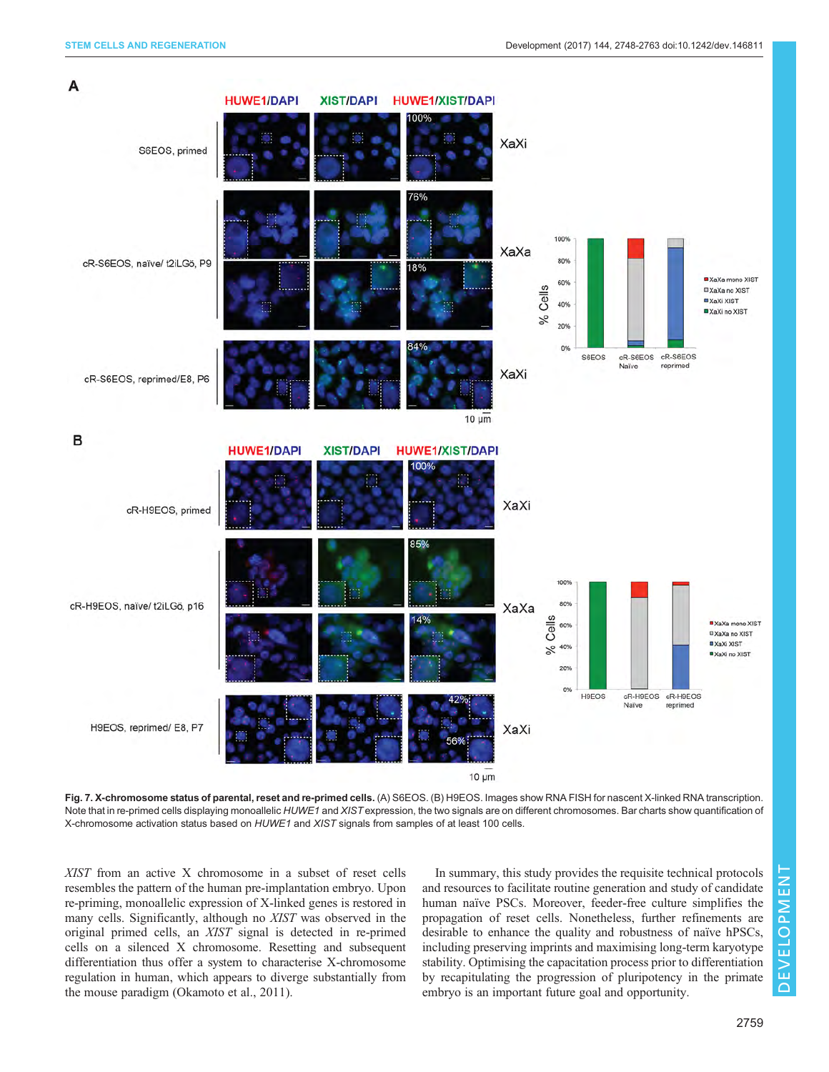<span id="page-11-0"></span>

Fig. 7. X-chromosome status of parental, reset and re-primed cells. (A) S6EOS. (B) H9EOS. Images show RNA FISH for nascent X-linked RNA transcription. Note that in re-primed cells displaying monoallelic HUWE1 and XIST expression, the two signals are on different chromosomes. Bar charts show quantification of X-chromosome activation status based on HUWE1 and XIST signals from samples of at least 100 cells.

XIST from an active X chromosome in a subset of reset cells resembles the pattern of the human pre-implantation embryo. Upon re-priming, monoallelic expression of X-linked genes is restored in many cells. Significantly, although no XIST was observed in the original primed cells, an XIST signal is detected in re-primed cells on a silenced X chromosome. Resetting and subsequent differentiation thus offer a system to characterise X-chromosome regulation in human, which appears to diverge substantially from the mouse paradigm ([Okamoto et al., 2011](#page-14-0)).

In summary, this study provides the requisite technical protocols and resources to facilitate routine generation and study of candidate human naïve PSCs. Moreover, feeder-free culture simplifies the propagation of reset cells. Nonetheless, further refinements are desirable to enhance the quality and robustness of naïve hPSCs, including preserving imprints and maximising long-term karyotype stability. Optimising the capacitation process prior to differentiation by recapitulating the progression of pluripotency in the primate embryo is an important future goal and opportunity.

DEVELOPMENT

**DEVELOPMENT**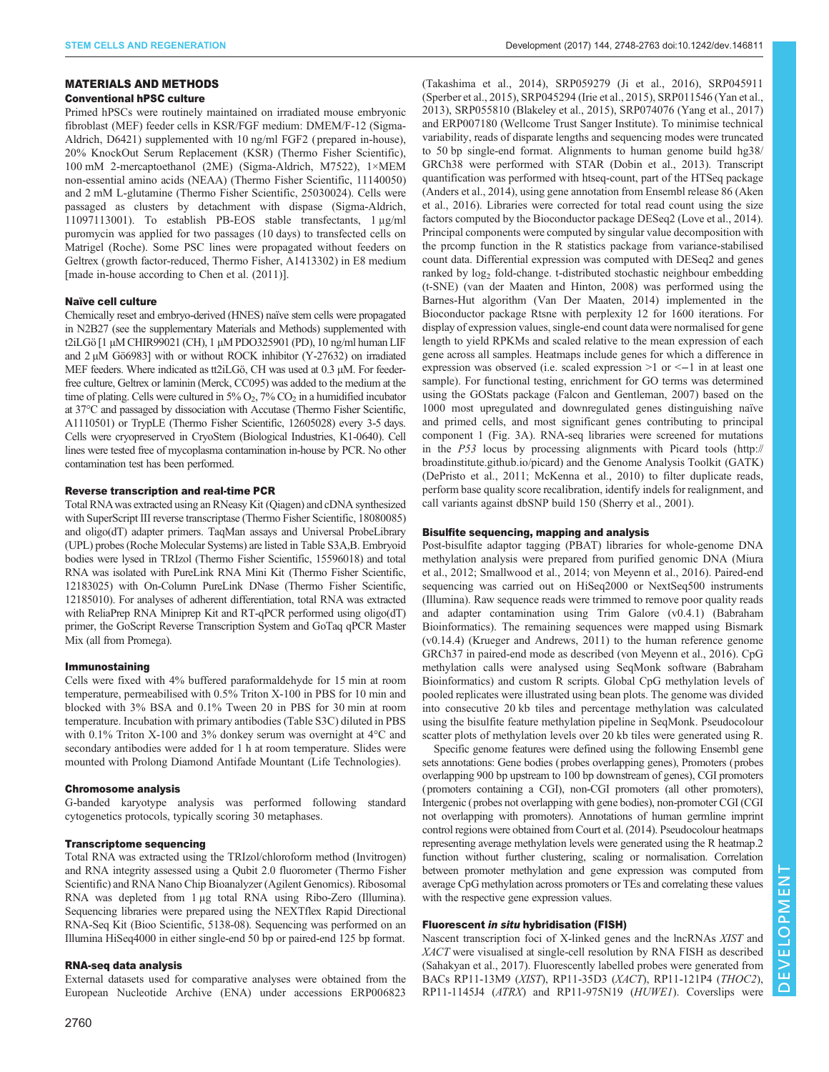#### MATERIALS AND METHODS

### Conventional hPSC culture

Primed hPSCs were routinely maintained on irradiated mouse embryonic fibroblast (MEF) feeder cells in KSR/FGF medium: DMEM/F-12 (Sigma-Aldrich, D6421) supplemented with 10 ng/ml FGF2 ( prepared in-house), 20% KnockOut Serum Replacement (KSR) (Thermo Fisher Scientific), 100 mM 2-mercaptoethanol (2ME) (Sigma-Aldrich, M7522), 1×MEM non-essential amino acids (NEAA) (Thermo Fisher Scientific, 11140050) and 2 mM L-glutamine (Thermo Fisher Scientific, 25030024). Cells were passaged as clusters by detachment with dispase (Sigma-Aldrich, 11097113001). To establish PB-EOS stable transfectants, 1 μg/ml puromycin was applied for two passages (10 days) to transfected cells on Matrigel (Roche). Some PSC lines were propagated without feeders on Geltrex (growth factor-reduced, Thermo Fisher, A1413302) in E8 medium [made in-house according to [Chen et al. \(2011\)\]](#page-13-0).

#### Naïve cell culture

Chemically reset and embryo-derived (HNES) naïve stem cells were propagated in N2B27 (see the [supplementary Materials and Methods\)](http://dev.biologists.org/lookup/doi/10.1242/dev.146811.supplemental) supplemented with t2iLGö [1 µM CHIR99021 (CH), 1 µM PDO325901 (PD), 10 ng/ml human LIF and 2  $\mu$ M Gö6983] with or without ROCK inhibitor (Y-27632) on irradiated MEF feeders. Where indicated as tt2iLGö, CH was used at 0.3 µM. For feederfree culture, Geltrex or laminin (Merck, CC095) was added to the medium at the time of plating. Cells were cultured in  $5\%$  O<sub>2</sub>,  $7\%$  CO<sub>2</sub> in a humidified incubator at 37°C and passaged by dissociation with Accutase (Thermo Fisher Scientific, A1110501) or TrypLE (Thermo Fisher Scientific, 12605028) every 3-5 days. Cells were cryopreserved in CryoStem (Biological Industries, K1-0640). Cell lines were tested free of mycoplasma contamination in-house by PCR. No other contamination test has been performed.

#### Reverse transcription and real-time PCR

Total RNAwas extracted using an RNeasy Kit (Qiagen) and cDNA synthesized with SuperScript III reverse transcriptase (Thermo Fisher Scientific, 18080085) and oligo(dT) adapter primers. TaqMan assays and Universal ProbeLibrary (UPL) probes (Roche Molecular Systems) are listed in [Table S3A,B.](http://dev.biologists.org/lookup/doi/10.1242/dev.146811.supplemental) Embryoid bodies were lysed in TRIzol (Thermo Fisher Scientific, 15596018) and total RNA was isolated with PureLink RNA Mini Kit (Thermo Fisher Scientific, 12183025) with On-Column PureLink DNase (Thermo Fisher Scientific, 12185010). For analyses of adherent differentiation, total RNA was extracted with ReliaPrep RNA Miniprep Kit and RT-qPCR performed using oligo(dT) primer, the GoScript Reverse Transcription System and GoTaq qPCR Master Mix (all from Promega).

### Immunostaining

Cells were fixed with 4% buffered paraformaldehyde for 15 min at room temperature, permeabilised with 0.5% Triton X-100 in PBS for 10 min and blocked with 3% BSA and 0.1% Tween 20 in PBS for 30 min at room temperature. Incubation with primary antibodies [\(Table S3C](http://dev.biologists.org/lookup/doi/10.1242/dev.146811.supplemental)) diluted in PBS with 0.1% Triton X-100 and 3% donkey serum was overnight at 4°C and secondary antibodies were added for 1 h at room temperature. Slides were mounted with Prolong Diamond Antifade Mountant (Life Technologies).

#### Chromosome analysis

G-banded karyotype analysis was performed following standard cytogenetics protocols, typically scoring 30 metaphases.

#### Transcriptome sequencing

Total RNA was extracted using the TRIzol/chloroform method (Invitrogen) and RNA integrity assessed using a Qubit 2.0 fluorometer (Thermo Fisher Scientific) and RNA Nano Chip Bioanalyzer (Agilent Genomics). Ribosomal RNA was depleted from 1 µg total RNA using Ribo-Zero (Illumina). Sequencing libraries were prepared using the NEXTflex Rapid Directional RNA-Seq Kit (Bioo Scientific, 5138-08). Sequencing was performed on an Illumina HiSeq4000 in either single-end 50 bp or paired-end 125 bp format.

# RNA-seq data analysis

External datasets used for comparative analyses were obtained from the European Nucleotide Archive (ENA) under accessions [ERP006823](http://www.ebi.ac.uk/ena/data/search?query=ERP006823)

([Takashima et al., 2014](#page-15-0)), [SRP059279](http://www.ebi.ac.uk/ena/data/search?query=SRP059279) ([Ji et al., 2016](#page-14-0)), [SRP045911](http://www.ebi.ac.uk/ena/data/search?query=SRP045911) ([Sperber et al., 2015\)](#page-15-0), [SRP045294](http://www.ebi.ac.uk/ena/data/search?query=SRP045294) ([Irie et al., 2015](#page-14-0)), [SRP011546](http://www.ebi.ac.uk/ena/data/view/PRJNA153427) ([Yan et al.,](#page-15-0) [2013\)](#page-15-0), [SRP055810](http://www.ebi.ac.uk/ena/data/view/PRJNA277181) ([Blakeley et al., 2015\)](#page-13-0), [SRP074076](http://www.ebi.ac.uk/ena/data/view/PRJNA319819) [\(Yang et al., 2017](#page-15-0)) and [ERP007180](http://www.ebi.ac.uk/ena/data/search?query=ERP007180) (Wellcome Trust Sanger Institute). To minimise technical variability, reads of disparate lengths and sequencing modes were truncated to 50 bp single-end format. Alignments to human genome build hg38/ GRCh38 were performed with STAR (Dobin et al., 2013). Transcript quantification was performed with htseq-count, part of the HTSeq package (Anders et al., 2014), using gene annotation from Ensembl release 86 (Aken et al., 2016). Libraries were corrected for total read count using the size factors computed by the Bioconductor package DESeq2 (Love et al., 2014). Principal components were computed by singular value decomposition with the prcomp function in the R statistics package from variance-stabilised count data. Differential expression was computed with DESeq2 and genes ranked by log<sub>2</sub> fold-change. t-distributed stochastic neighbour embedding (t-SNE) [\(van der Maaten and Hinton, 2008](#page-15-0)) was performed using the Barnes-Hut algorithm [\(Van Der Maaten, 2014](#page-15-0)) implemented in the Bioconductor package Rtsne with perplexity 12 for 1600 iterations. For display of expression values, single-end count data were normalised for gene length to yield RPKMs and scaled relative to the mean expression of each gene across all samples. Heatmaps include genes for which a difference in expression was observed (i.e. scaled expression  $>1$  or  $<-1$  in at least one sample). For functional testing, enrichment for GO terms was determined using the GOStats package (Falcon and Gentleman, 2007) based on the 1000 most upregulated and downregulated genes distinguishing naïve and primed cells, and most significant genes contributing to principal component 1 ([Fig. 3A](#page-5-0)). RNA-seq libraries were screened for mutations in the P53 locus by processing alignments with Picard tools ([http://](http://broadinstitute.github.io/picard) [broadinstitute.github.io/picard\)](http://broadinstitute.github.io/picard) and the Genome Analysis Toolkit (GATK) ([DePristo et al., 2011; McKenna et al., 2010\)](#page-14-0) to filter duplicate reads, perform base quality score recalibration, identify indels for realignment, and call variants against dbSNP build 150 [\(Sherry et al., 2001\)](#page-15-0).

# Bisulfite sequencing, mapping and analysis

Post-bisulfite adaptor tagging (PBAT) libraries for whole-genome DNA methylation analysis were prepared from purified genomic DNA ([Miura](#page-14-0) [et al., 2012](#page-14-0); [Smallwood et al., 2014](#page-15-0); [von Meyenn et al., 2016\)](#page-15-0). Paired-end sequencing was carried out on HiSeq2000 or NextSeq500 instruments (Illumina). Raw sequence reads were trimmed to remove poor quality reads and adapter contamination using Trim Galore (v0.4.1) (Babraham Bioinformatics). The remaining sequences were mapped using Bismark (v0.14.4) [\(Krueger and Andrews, 2011\)](#page-14-0) to the human reference genome GRCh37 in paired-end mode as described ([von Meyenn et al., 2016\)](#page-15-0). CpG methylation calls were analysed using SeqMonk software (Babraham Bioinformatics) and custom R scripts. Global CpG methylation levels of pooled replicates were illustrated using bean plots. The genome was divided into consecutive 20 kb tiles and percentage methylation was calculated using the bisulfite feature methylation pipeline in SeqMonk. Pseudocolour scatter plots of methylation levels over 20 kb tiles were generated using R.

Specific genome features were defined using the following Ensembl gene sets annotations: Gene bodies (probes overlapping genes), Promoters (probes overlapping 900 bp upstream to 100 bp downstream of genes), CGI promoters (promoters containing a CGI), non-CGI promoters (all other promoters), Intergenic (probes not overlapping with gene bodies), non-promoter CGI (CGI not overlapping with promoters). Annotations of human germline imprint control regions were obtained from [Court et al. \(2014\).](#page-13-0) Pseudocolour heatmaps representing average methylation levels were generated using the R heatmap.2 function without further clustering, scaling or normalisation. Correlation between promoter methylation and gene expression was computed from average CpG methylation across promoters or TEs and correlating these values with the respective gene expression values.

# Fluorescent in situ hybridisation (FISH)

Nascent transcription foci of X-linked genes and the lncRNAs XIST and XACT were visualised at single-cell resolution by RNA FISH as described ([Sahakyan et al., 2017](#page-15-0)). Fluorescently labelled probes were generated from BACs RP11-13M9 (XIST), RP11-35D3 (XACT), RP11-121P4 (THOC2), RP11-1145J4 (ATRX) and RP11-975N19 (HUWE1). Coverslips were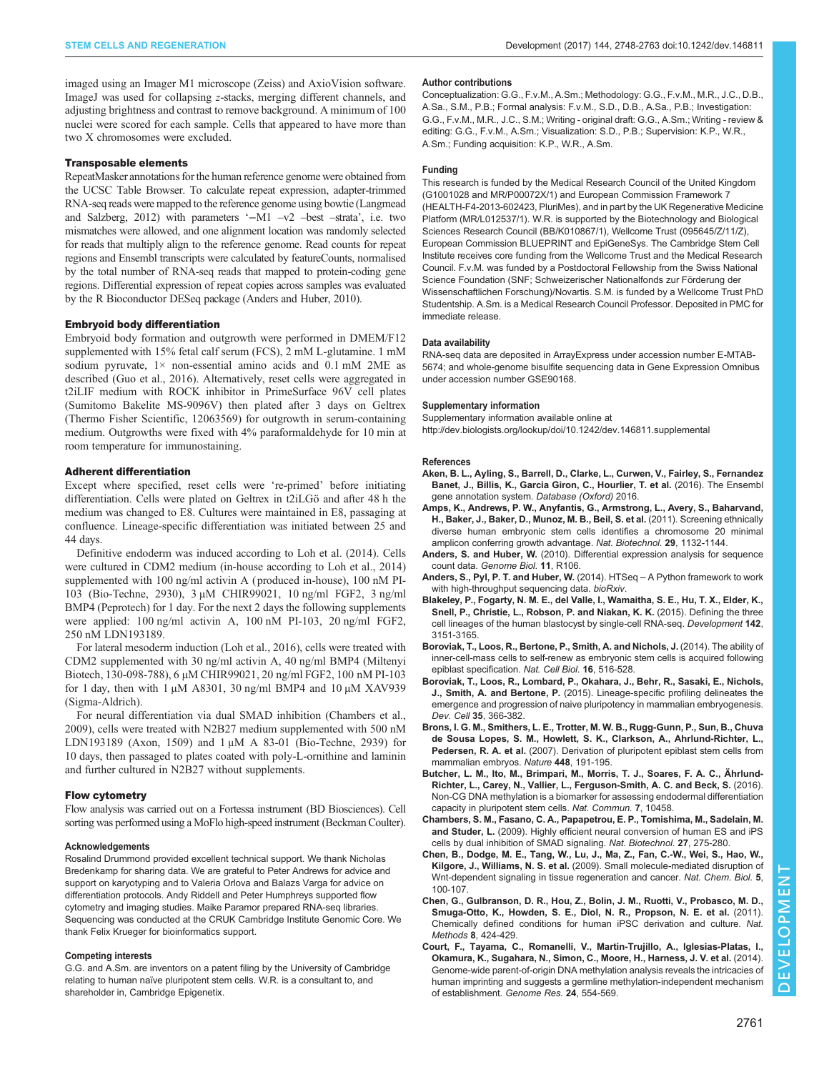<span id="page-13-0"></span>imaged using an Imager M1 microscope (Zeiss) and AxioVision software. ImageJ was used for collapsing z-stacks, merging different channels, and adjusting brightness and contrast to remove background. A minimum of 100 nuclei were scored for each sample. Cells that appeared to have more than two X chromosomes were excluded.

#### Transposable elements

RepeatMasker annotations for the human reference genome were obtained from the UCSC Table Browser. To calculate repeat expression, adapter-trimmed RNA-seq reads were mapped to the reference genome using bowtie [\(Langmead](#page-14-0) [and Salzberg, 2012](#page-14-0)) with parameters '−M1 –v2 –best –strata', i.e. two mismatches were allowed, and one alignment location was randomly selected for reads that multiply align to the reference genome. Read counts for repeat regions and Ensembl transcripts were calculated by featureCounts, normalised by the total number of RNA-seq reads that mapped to protein-coding gene regions. Differential expression of repeat copies across samples was evaluated by the R Bioconductor DESeq package (Anders and Huber, 2010).

#### Embryoid body differentiation

Embryoid body formation and outgrowth were performed in DMEM/F12 supplemented with 15% fetal calf serum (FCS), 2 mM L-glutamine. 1 mM sodium pyruvate,  $1 \times$  non-essential amino acids and 0.1 mM 2ME as described ([Guo et al., 2016](#page-14-0)). Alternatively, reset cells were aggregated in t2iLIF medium with ROCK inhibitor in PrimeSurface 96V cell plates (Sumitomo Bakelite MS-9096V) then plated after 3 days on Geltrex (Thermo Fisher Scientific, 12063569) for outgrowth in serum-containing medium. Outgrowths were fixed with 4% paraformaldehyde for 10 min at room temperature for immunostaining.

#### Adherent differentiation

Except where specified, reset cells were ʻre-primed' before initiating differentiation. Cells were plated on Geltrex in t2iLGö and after 48 h the medium was changed to E8. Cultures were maintained in E8, passaging at confluence. Lineage-specific differentiation was initiated between 25 and 44 days.

Definitive endoderm was induced according to [Loh et al. \(2014\)](#page-14-0). Cells were cultured in CDM2 medium (in-house according to Loh et al., 2014) supplemented with 100 ng/ml activin A ( produced in-house), 100 nM PI-103 (Bio-Techne, 2930), 3 µM CHIR99021, 10 ng/ml FGF2, 3 ng/ml BMP4 (Peprotech) for 1 day. For the next 2 days the following supplements were applied: 100 ng/ml activin A, 100 nM PI-103, 20 ng/ml FGF2, 250 nM LDN193189.

For lateral mesoderm induction ([Loh et al., 2016\)](#page-14-0), cells were treated with CDM2 supplemented with 30 ng/ml activin A, 40 ng/ml BMP4 (Miltenyi Biotech, 130-098-788), 6 µM CHIR99021, 20 ng/ml FGF2, 100 nM PI-103 for 1 day, then with 1  $\mu$ M A8301, 30 ng/ml BMP4 and 10  $\mu$ M XAV939 (Sigma-Aldrich).

For neural differentiation via dual SMAD inhibition (Chambers et al., 2009), cells were treated with N2B27 medium supplemented with 500 nM LDN193189 (Axon, 1509) and 1 μM A 83-01 (Bio-Techne, 2939) for 10 days, then passaged to plates coated with poly-L-ornithine and laminin and further cultured in N2B27 without supplements.

#### Flow cytometry

Flow analysis was carried out on a Fortessa instrument (BD Biosciences). Cell sorting was performed using a MoFlo high-speed instrument (Beckman Coulter).

#### Acknowledgements

Rosalind Drummond provided excellent technical support. We thank Nicholas Bredenkamp for sharing data. We are grateful to Peter Andrews for advice and support on karyotyping and to Valeria Orlova and Balazs Varga for advice on differentiation protocols. Andy Riddell and Peter Humphreys supported flow cytometry and imaging studies. Maike Paramor prepared RNA-seq libraries. Sequencing was conducted at the CRUK Cambridge Institute Genomic Core. We thank Felix Krueger for bioinformatics support.

#### Competing interests

G.G. and A.Sm. are inventors on a patent filing by the University of Cambridge relating to human naïve pluripotent stem cells. W.R. is a consultant to, and shareholder in, Cambridge Epigenetix.

#### Author contributions

Conceptualization: G.G., F.v.M., A.Sm.; Methodology: G.G., F.v.M., M.R., J.C., D.B., A.Sa., S.M., P.B.; Formal analysis: F.v.M., S.D., D.B., A.Sa., P.B.; Investigation: G.G., F.v.M., M.R., J.C., S.M.; Writing - original draft: G.G., A.Sm.; Writing - review & editing: G.G., F.v.M., A.Sm.; Visualization: S.D., P.B.; Supervision: K.P., W.R., A.Sm.; Funding acquisition: K.P., W.R., A.Sm.

#### Funding

This research is funded by the Medical Research Council of the United Kingdom (G1001028 and MR/P00072X/1) and European Commission Framework 7 (HEALTH-F4-2013-602423, PluriMes), and in part by the UK Regenerative Medicine Platform (MR/L012537/1). W.R. is supported by the Biotechnology and Biological Sciences Research Council (BB/K010867/1), Wellcome Trust (095645/Z/11/Z), European Commission BLUEPRINT and EpiGeneSys. The Cambridge Stem Cell Institute receives core funding from the Wellcome Trust and the Medical Research Council. F.v.M. was funded by a Postdoctoral Fellowship from the Swiss National Science Foundation (SNF: Schweizerischer Nationalfonds zur Förderung der Wissenschaftlichen Forschung)/Novartis. S.M. is funded by a Wellcome Trust PhD Studentship. A.Sm. is a Medical Research Council Professor. Deposited in PMC for immediate release.

#### Data availability

RNA-seq data are deposited in ArrayExpress under accession number E-MTAB-5674; and whole-genome bisulfite sequencing data in Gene Expression Omnibus under accession number [GSE90168.](https://www.ncbi.nlm.nih.gov/geo/query/acc.cgi?acc=GSE90168)

#### Supplementary information

Supplementary information available online at <http://dev.biologists.org/lookup/doi/10.1242/dev.146811.supplemental>

#### References

- [Aken, B. L., Ayling, S., Barrell, D., Clarke, L., Curwen, V., Fairley, S., Fernandez](http://dx.doi.org/10.1093/database/baw093) [Banet, J., Billis, K., Garcia Giron, C., Hourlier, T. et al.](http://dx.doi.org/10.1093/database/baw093) (2016). The Ensembl [gene annotation system.](http://dx.doi.org/10.1093/database/baw093) Database (Oxford) 2016.
- [Amps, K., Andrews, P. W., Anyfantis, G., Armstrong, L., Avery, S., Baharvand,](http://dx.doi.org/10.1038/nbt.1974) [H., Baker, J., Baker, D., Munoz, M. B., Beil, S. et al.](http://dx.doi.org/10.1038/nbt.1974) (2011). Screening ethnically [diverse human embryonic stem cells identifies a chromosome 20 minimal](http://dx.doi.org/10.1038/nbt.1974) [amplicon conferring growth advantage.](http://dx.doi.org/10.1038/nbt.1974) Nat. Biotechnol. 29, 1132-1144.
- Anders, S. and Huber, W. [\(2010\). Differential expression analysis for sequence](http://dx.doi.org/10.1186/gb-2010-11-10-r106) [count data.](http://dx.doi.org/10.1186/gb-2010-11-10-r106) Genome Biol. 11, R106.
- [Anders, S., Pyl, P. T. and Huber, W.](http://dx.doi.org/doi :10.1101/002824) (2014). HTSeq A Python framework to work [with high-throughput sequencing data.](http://dx.doi.org/doi :10.1101/002824) bioRxiv.
- [Blakeley, P., Fogarty, N. M. E., del Valle, I., Wamaitha, S. E., Hu, T. X., Elder, K.,](http://dx.doi.org/10.1242/dev.123547) [Snell, P., Christie, L., Robson, P. and Niakan, K. K.](http://dx.doi.org/10.1242/dev.123547) (2015). Defining the three [cell lineages of the human blastocyst by single-cell RNA-seq.](http://dx.doi.org/10.1242/dev.123547) Development 142, [3151-3165.](http://dx.doi.org/10.1242/dev.123547)
- [Boroviak, T., Loos, R., Bertone, P., Smith, A. and Nichols, J.](http://dx.doi.org/10.1038/ncb2965) (2014). The ability of [inner-cell-mass cells to self-renew as embryonic stem cells is acquired following](http://dx.doi.org/10.1038/ncb2965) [epiblast specification.](http://dx.doi.org/10.1038/ncb2965) Nat. Cell Biol. 16, 516-528.
- [Boroviak, T., Loos, R., Lombard, P., Okahara, J., Behr, R., Sasaki, E., Nichols,](http://dx.doi.org/10.1016/j.devcel.2015.10.011) J., Smith, A. and Bertone, P. [\(2015\). Lineage-specific profiling delineates the](http://dx.doi.org/10.1016/j.devcel.2015.10.011) [emergence and progression of naive pluripotency in mammalian embryogenesis.](http://dx.doi.org/10.1016/j.devcel.2015.10.011) Dev. Cell 35[, 366-382.](http://dx.doi.org/10.1016/j.devcel.2015.10.011)
- [Brons, I. G. M., Smithers, L. E., Trotter, M. W. B., Rugg-Gunn, P., Sun, B., Chuva](http://dx.doi.org/10.1038/nature05950) [de Sousa Lopes, S. M., Howlett, S. K., Clarkson, A., Ahrlund-Richter, L.,](http://dx.doi.org/10.1038/nature05950) Pedersen, R. A. et al. [\(2007\). Derivation of pluripotent epiblast stem cells from](http://dx.doi.org/10.1038/nature05950) [mammalian embryos.](http://dx.doi.org/10.1038/nature05950) Nature 448, 191-195.
- [Butcher, L. M., Ito, M., Brimpari, M., Morris, T. J., Soares, F. A. C., Ährlund-](http://dx.doi.org/10.1038/ncomms10458)[Richter, L., Carey, N., Vallier, L., Ferguson-Smith, A. C. and Beck, S.](http://dx.doi.org/10.1038/ncomms10458) (2016). [Non-CG DNA methylation is a biomarker for assessing endodermal differentiation](http://dx.doi.org/10.1038/ncomms10458) [capacity in pluripotent stem cells.](http://dx.doi.org/10.1038/ncomms10458) Nat. Commun. 7, 10458.
- [Chambers, S. M., Fasano, C. A., Papapetrou, E. P., Tomishima, M., Sadelain, M.](http://dx.doi.org/10.1038/nbt.1529) and Studer, L. [\(2009\). Highly efficient neural conversion of human ES and iPS](http://dx.doi.org/10.1038/nbt.1529) [cells by dual inhibition of SMAD signaling.](http://dx.doi.org/10.1038/nbt.1529) Nat. Biotechnol. 27, 275-280.
- [Chen, B., Dodge, M. E., Tang, W., Lu, J., Ma, Z., Fan, C.-W., Wei, S., Hao, W.,](http://dx.doi.org/10.1038/nchembio.137) Kilgore, J., Williams, N. S. et al. [\(2009\). Small molecule-mediated disruption of](http://dx.doi.org/10.1038/nchembio.137) [Wnt-dependent signaling in tissue regeneration and cancer.](http://dx.doi.org/10.1038/nchembio.137) Nat. Chem. Biol. 5, [100-107.](http://dx.doi.org/10.1038/nchembio.137)
- [Chen, G., Gulbranson, D. R., Hou, Z., Bolin, J. M., Ruotti, V., Probasco, M. D.,](http://dx.doi.org/10.1038/nmeth.1593) [Smuga-Otto, K., Howden, S. E., Diol, N. R., Propson, N. E. et al.](http://dx.doi.org/10.1038/nmeth.1593) (2011). [Chemically defined conditions for human iPSC derivation and culture.](http://dx.doi.org/10.1038/nmeth.1593) Nat. Methods **8**[, 424-429.](http://dx.doi.org/10.1038/nmeth.1593)
- [Court, F., Tayama, C., Romanelli, V., Martin-Trujillo, A., Iglesias-Platas, I.,](http://dx.doi.org/10.1101/gr.164913.113) [Okamura, K., Sugahara, N., Simon, C., Moore, H., Harness, J. V. et al.](http://dx.doi.org/10.1101/gr.164913.113) (2014). [Genome-wide parent-of-origin DNA methylation analysis reveals the intricacies of](http://dx.doi.org/10.1101/gr.164913.113) [human imprinting and suggests a germline methylation-independent mechanism](http://dx.doi.org/10.1101/gr.164913.113) [of establishment.](http://dx.doi.org/10.1101/gr.164913.113) Genome Res. 24, 554-569.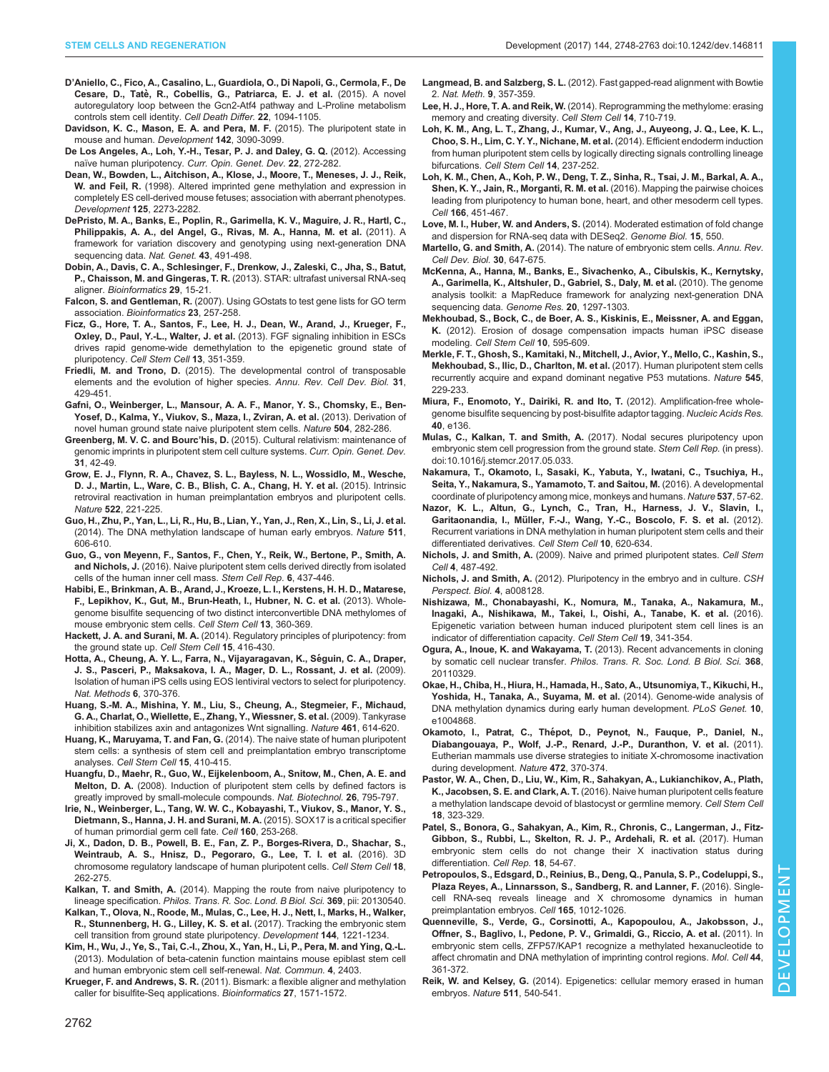- <span id="page-14-0"></span>D'[Aniello, C., Fico, A., Casalino, L., Guardiola, O., Di Napoli, G., Cermola, F., De](http://dx.doi.org/10.1038/cdd.2015.24) Cesare, D., Tatè, R., Cobellis, G., Patriarca, E. J. et al. (2015). A novel [autoregulatory loop between the Gcn2-Atf4 pathway and L-Proline metabolism](http://dx.doi.org/10.1038/cdd.2015.24) [controls stem cell identity.](http://dx.doi.org/10.1038/cdd.2015.24) Cell Death Differ. 22, 1094-1105.
- [Davidson, K. C., Mason, E. A. and Pera, M. F.](http://dx.doi.org/10.1242/dev.116061) (2015). The pluripotent state in [mouse and human.](http://dx.doi.org/10.1242/dev.116061) Development 142, 3090-3099.
- [De Los Angeles, A., Loh, Y.-H., Tesar, P. J. and Daley, G. Q.](http://dx.doi.org/10.1016/j.gde.2012.03.001) (2012). Accessing [naïve human pluripotency.](http://dx.doi.org/10.1016/j.gde.2012.03.001) Curr. Opin. Genet. Dev. 22, 272-282.
- Dean, W., Bowden, L., Aitchison, A., Klose, J., Moore, T., Meneses, J. J., Reik, W. and Feil, R. (1998). Altered imprinted gene methylation and expression in completely ES cell-derived mouse fetuses; association with aberrant phenotypes. Development 125, 2273-2282.
- [DePristo, M. A., Banks, E., Poplin, R., Garimella, K. V., Maguire, J. R., Hartl, C.,](http://dx.doi.org/10.1038/ng.806) [Philippakis, A. A., del Angel, G., Rivas, M. A., Hanna, M. et al.](http://dx.doi.org/10.1038/ng.806) (2011). A [framework for variation discovery and genotyping using next-generation DNA](http://dx.doi.org/10.1038/ng.806) [sequencing data.](http://dx.doi.org/10.1038/ng.806) Nat. Genet. 43, 491-498.
- Dobin, A., Davis, C. A., Schlesinger, F., Drenkow, J., Zaleski, C., Jha, S., Batut, P., Chaisson, M. and Gingeras, T. R. (2013). STAR: ultrafast universal RNA-seq aligner. Bioinformatics 29, 15-21.
- Falcon, S. and Gentleman, R. (2007). Using GOstats to test gene lists for GO term association. Bioinformatics 23, 257-258.
- [Ficz, G., Hore, T. A., Santos, F., Lee, H. J., Dean, W., Arand, J., Krueger, F.,](http://dx.doi.org/10.1016/j.stem.2013.06.004) Oxley, D., Paul, Y.-L., Walter, J. et al. [\(2013\). FGF signaling inhibition in ESCs](http://dx.doi.org/10.1016/j.stem.2013.06.004) [drives rapid genome-wide demethylation to the epigenetic ground state of](http://dx.doi.org/10.1016/j.stem.2013.06.004) [pluripotency.](http://dx.doi.org/10.1016/j.stem.2013.06.004) Cell Stem Cell 13, 351-359.
- Friedli, M. and Trono, D. [\(2015\). The developmental control of transposable](http://dx.doi.org/10.1146/annurev-cellbio-100814-125514) [elements and the evolution of higher species.](http://dx.doi.org/10.1146/annurev-cellbio-100814-125514) Annu. Rev. Cell Dev. Biol. 31, [429-451.](http://dx.doi.org/10.1146/annurev-cellbio-100814-125514)
- [Gafni, O., Weinberger, L., Mansour, A. A. F., Manor, Y. S., Chomsky, E., Ben-](http://dx.doi.org/10.1038/nature12745)[Yosef, D., Kalma, Y., Viukov, S., Maza, I., Zviran, A. et al.](http://dx.doi.org/10.1038/nature12745) (2013). Derivation of [novel human ground state naive pluripotent stem cells.](http://dx.doi.org/10.1038/nature12745) Nature 504, 282-286
- Greenberg, M. V. C. and Bourc'his, D. [\(2015\). Cultural relativism: maintenance of](http://dx.doi.org/10.1016/j.gde.2015.04.005) [genomic imprints in pluripotent stem cell culture systems.](http://dx.doi.org/10.1016/j.gde.2015.04.005) Curr. Opin. Genet. Dev. 31[, 42-49.](http://dx.doi.org/10.1016/j.gde.2015.04.005)
- [Grow, E. J., Flynn, R. A., Chavez, S. L., Bayless, N. L., Wossidlo, M., Wesche,](http://dx.doi.org/10.1038/nature14308) [D. J., Martin, L., Ware, C. B., Blish, C. A., Chang, H. Y. et al.](http://dx.doi.org/10.1038/nature14308) (2015). Intrinsic [retroviral reactivation in human preimplantation embryos and pluripotent cells.](http://dx.doi.org/10.1038/nature14308) Nature 522[, 221-225.](http://dx.doi.org/10.1038/nature14308)
- [Guo, H., Zhu, P., Yan, L., Li, R., Hu, B., Lian, Y., Yan, J., Ren, X., Lin, S., Li, J. et al.](http://dx.doi.org/10.1038/nature13544) [\(2014\). The DNA methylation landscape of human early embryos.](http://dx.doi.org/10.1038/nature13544) Nature 511, [606-610.](http://dx.doi.org/10.1038/nature13544)
- [Guo, G., von Meyenn, F., Santos, F., Chen, Y., Reik, W., Bertone, P., Smith, A.](http://dx.doi.org/10.1016/j.stemcr.2016.02.005) and Nichols, J. [\(2016\). Naive pluripotent stem cells derived directly from isolated](http://dx.doi.org/10.1016/j.stemcr.2016.02.005) [cells of the human inner cell mass.](http://dx.doi.org/10.1016/j.stemcr.2016.02.005) Stem Cell Rep. 6, 437-446.
- [Habibi, E., Brinkman, A. B., Arand, J., Kroeze, L. I., Kerstens, H. H. D., Matarese,](http://dx.doi.org/10.1016/j.stem.2013.06.002) F., [Lepikhov, K., Gut, M., Brun-Heath, I., Hubner, N. C. et al.](http://dx.doi.org/10.1016/j.stem.2013.06.002) (2013). Whole[genome bisulfite sequencing of two distinct interconvertible DNA methylomes of](http://dx.doi.org/10.1016/j.stem.2013.06.002) [mouse embryonic stem cells.](http://dx.doi.org/10.1016/j.stem.2013.06.002) Cell Stem Cell 13, 360-369.
- Hackett, J. A. and Surani, M. A. [\(2014\). Regulatory principles of pluripotency: from](http://dx.doi.org/10.1016/j.stem.2014.09.015) [the ground state up.](http://dx.doi.org/10.1016/j.stem.2014.09.015) Cell Stem Cell 15, 416-430.
- [Hotta, A., Cheung, A. Y. L., Farra, N., Vijayaragavan, K., Se](http://dx.doi.org/10.1038/nmeth.1325)́guin, C. A., Draper, [J. S., Pasceri, P., Maksakova, I. A., Mager, D. L., Rossant, J. et al.](http://dx.doi.org/10.1038/nmeth.1325) (2009). [Isolation of human iPS cells using EOS lentiviral vectors to select for pluripotency.](http://dx.doi.org/10.1038/nmeth.1325) Nat. Methods 6[, 370-376.](http://dx.doi.org/10.1038/nmeth.1325)
- [Huang, S.-M. A., Mishina, Y. M., Liu, S., Cheung, A., Stegmeier, F., Michaud,](http://dx.doi.org/10.1038/nature08356) [G. A., Charlat, O., Wiellette, E., Zhang, Y., Wiessner, S. et al.](http://dx.doi.org/10.1038/nature08356) (2009). Tankyrase [inhibition stabilizes axin and antagonizes Wnt signalling.](http://dx.doi.org/10.1038/nature08356) Nature 461, 614-620.
- Huang, K., Maruyama, T. and Fan, G. [\(2014\). The naive state of human pluripotent](http://dx.doi.org/10.1016/j.stem.2014.09.014) [stem cells: a synthesis of stem cell and preimplantation embryo transcriptome](http://dx.doi.org/10.1016/j.stem.2014.09.014) analyses. [Cell Stem Cell](http://dx.doi.org/10.1016/j.stem.2014.09.014) 15, 410-415.
- [Huangfu, D., Maehr, R., Guo, W., Eijkelenboom, A., Snitow, M., Chen, A. E. and](http://dx.doi.org/10.1038/nbt1418) Melton, D. A. [\(2008\). Induction of pluripotent stem cells by defined factors is](http://dx.doi.org/10.1038/nbt1418) [greatly improved by small-molecule compounds.](http://dx.doi.org/10.1038/nbt1418) Nat. Biotechnol. 26, 795-797.
- [Irie, N., Weinberger, L., Tang, W. W. C., Kobayashi, T., Viukov, S., Manor, Y. S.,](http://dx.doi.org/10.1016/j.cell.2014.12.013) [Dietmann, S., Hanna, J. H. and Surani, M. A.](http://dx.doi.org/10.1016/j.cell.2014.12.013) (2015). SOX17 is a critical specifier [of human primordial germ cell fate.](http://dx.doi.org/10.1016/j.cell.2014.12.013) Cell 160, 253-268.
- [Ji, X., Dadon, D. B., Powell, B. E., Fan, Z. P., Borges-Rivera, D., Shachar, S.,](http://dx.doi.org/10.1016/j.stem.2015.11.007) [Weintraub, A. S., Hnisz, D., Pegoraro, G., Lee, T. I. et al.](http://dx.doi.org/10.1016/j.stem.2015.11.007) (2016). 3D [chromosome regulatory landscape of human pluripotent cells.](http://dx.doi.org/10.1016/j.stem.2015.11.007) Cell Stem Cell 18, [262-275.](http://dx.doi.org/10.1016/j.stem.2015.11.007)
- Kalkan, T. and Smith, A. [\(2014\). Mapping the route from naive pluripotency to](http://dx.doi.org/10.1098/rstb.2013.0540) lineage specification. [Philos. Trans. R. Soc. Lond. B Biol. Sci.](http://dx.doi.org/10.1098/rstb.2013.0540) 369, pii: 20130540.
- [Kalkan, T., Olova, N., Roode, M., Mulas, C., Lee, H. J., Nett, I., Marks, H., Walker,](http://dx.doi.org/10.1242/dev.142711) [R., Stunnenberg, H. G., Lilley, K. S. et al.](http://dx.doi.org/10.1242/dev.142711) (2017). Tracking the embryonic stem [cell transition from ground state pluripotency.](http://dx.doi.org/10.1242/dev.142711) Development 144, 1221-1234.
- [Kim, H., Wu, J., Ye, S., Tai, C.-I., Zhou, X., Yan, H., Li, P., Pera, M. and Ying, Q.-L.](http://dx.doi.org/10.1038/ncomms3403) [\(2013\). Modulation of beta-catenin function maintains mouse epiblast stem cell](http://dx.doi.org/10.1038/ncomms3403) [and human embryonic stem cell self-renewal.](http://dx.doi.org/10.1038/ncomms3403) Nat. Commun. 4, 2403.
- Krueger, F. and Andrews, S. R. [\(2011\). Bismark: a flexible aligner and methylation](http://dx.doi.org/10.1093/bioinformatics/btr167) [caller for bisulfite-Seq applications.](http://dx.doi.org/10.1093/bioinformatics/btr167) Bioinformatics 27, 1571-1572.
- Langmead, B. and Salzberg, S. L. (2012). Fast gapped-read alignment with Bowtie 2. Nat. Meth. 9, 357-359.
- Lee, H. J., Hore, T. A. and Reik, W. [\(2014\). Reprogramming the methylome: erasing](http://dx.doi.org/10.1016/j.stem.2014.05.008) [memory and creating diversity.](http://dx.doi.org/10.1016/j.stem.2014.05.008) Cell Stem Cell 14, 710-719.
- [Loh, K. M., Ang, L. T., Zhang, J., Kumar, V., Ang, J., Auyeong, J. Q., Lee, K. L.,](http://dx.doi.org/10.1016/j.stem.2013.12.007) [Choo, S. H., Lim, C. Y. Y., Nichane, M. et al.](http://dx.doi.org/10.1016/j.stem.2013.12.007) (2014). Efficient endoderm induction [from human pluripotent stem cells by logically directing signals controlling lineage](http://dx.doi.org/10.1016/j.stem.2013.12.007) bifurcations. [Cell Stem Cell](http://dx.doi.org/10.1016/j.stem.2013.12.007) 14, 237-252.
- Loh, [K. M., Chen, A., Koh, P. W., Deng, T. Z., Sinha, R., Tsai, J. M., Barkal, A. A.,](http://dx.doi.org/10.1016/j.cell.2016.06.011) [Shen, K. Y., Jain, R., Morganti, R. M. et al.](http://dx.doi.org/10.1016/j.cell.2016.06.011) (2016). Mapping the pairwise choices [leading from pluripotency to human bone, heart, and other mesoderm cell types.](http://dx.doi.org/10.1016/j.cell.2016.06.011) Cell 166[, 451-467.](http://dx.doi.org/10.1016/j.cell.2016.06.011)
- Love, M. I., Huber, W. and Anders, S. (2014). Moderated estimation of fold change and dispersion for RNA-seq data with DESeq2. Genome Biol. 15, 550.
- Martello, G. and Smith, A. [\(2014\). The nature of embryonic stem cells.](http://dx.doi.org/10.1146/annurev-cellbio-100913-013116) Annu. Rev. [Cell Dev. Biol.](http://dx.doi.org/10.1146/annurev-cellbio-100913-013116) 30, 647-675.
- [McKenna, A., Hanna, M., Banks, E., Sivachenko, A., Cibulskis, K., Kernytsky,](http://dx.doi.org/10.1101/gr.107524.110) [A., Garimella, K., Altshuler, D., Gabriel, S., Daly, M. et al.](http://dx.doi.org/10.1101/gr.107524.110) (2010). The genome [analysis toolkit: a MapReduce framework for analyzing next-generation DNA](http://dx.doi.org/10.1101/gr.107524.110) [sequencing data.](http://dx.doi.org/10.1101/gr.107524.110) Genome Res. 20, 1297-1303.
- [Mekhoubad, S., Bock, C., de Boer, A. S., Kiskinis, E., Meissner, A. and Eggan,](http://dx.doi.org/10.1016/j.stem.2012.02.014) K. [\(2012\). Erosion of dosage compensation impacts human iPSC disease](http://dx.doi.org/10.1016/j.stem.2012.02.014) modeling. [Cell Stem Cell](http://dx.doi.org/10.1016/j.stem.2012.02.014) 10, 595-609.
- [Merkle, F. T., Ghosh, S., Kamitaki, N., Mitchell, J., Avior, Y., Mello, C., Kashin, S.,](http://dx.doi.org/10.1038/nature22312) [Mekhoubad, S., Ilic, D., Charlton, M. et al.](http://dx.doi.org/10.1038/nature22312) (2017). Human pluripotent stem cells [recurrently acquire and expand dominant negative P53 mutations.](http://dx.doi.org/10.1038/nature22312) Nature 545, [229-233.](http://dx.doi.org/10.1038/nature22312)
- [Miura, F., Enomoto, Y., Dairiki, R. and Ito, T.](http://dx.doi.org/10.1093/nar/gks454) (2012). Amplification-free whole[genome bisulfite sequencing by post-bisulfite adaptor tagging.](http://dx.doi.org/10.1093/nar/gks454) Nucleic Acids Res. 40[, e136.](http://dx.doi.org/10.1093/nar/gks454)
- Mulas, C., Kalkan, T. and Smith, A. [\(2017\). Nodal secures pluripotency upon](http://dx.doi.org/10.1016/j.stemcr.2017.05.033) [embryonic stem cell progression from the ground state.](http://dx.doi.org/10.1016/j.stemcr.2017.05.033) Stem Cell Rep. (in press). [doi:10.1016/j.stemcr.2017.05.033.](http://dx.doi.org/10.1016/j.stemcr.2017.05.033)
- [Nakamura, T., Okamoto, I., Sasaki, K., Yabuta, Y., Iwatani, C., Tsuchiya, H.,](http://dx.doi.org/10.1038/nature19096) [Seita, Y., Nakamura, S., Yamamoto, T. and Saitou, M.](http://dx.doi.org/10.1038/nature19096) (2016). A developmental [coordinate of pluripotency among mice, monkeys and humans.](http://dx.doi.org/10.1038/nature19096) Nature 537, 57-62.
- [Nazor, K. L., Altun, G., Lynch, C., Tran, H., Harness, J. V., Slavin, I.,](http://dx.doi.org/10.1016/j.stem.2012.02.013) Garitaonandia, I., Mü[ller, F.-J., Wang, Y.-C., Boscolo, F. S. et al.](http://dx.doi.org/10.1016/j.stem.2012.02.013) (2012). [Recurrent variations in DNA methylation in human pluripotent stem cells and their](http://dx.doi.org/10.1016/j.stem.2012.02.013) [differentiated derivatives.](http://dx.doi.org/10.1016/j.stem.2012.02.013) Cell Stem Cell 10, 620-634.
- Nichols, J. and Smith, A. [\(2009\). Naive and primed pluripotent states.](http://dx.doi.org/10.1016/j.stem.2009.05.015) Cell Stem Cell 4[, 487-492.](http://dx.doi.org/10.1016/j.stem.2009.05.015)
- Nichols, J. and Smith, A. [\(2012\). Pluripotency in the embryo and in culture.](http://dx.doi.org/10.1101/cshperspect.a008128) CSH [Perspect. Biol.](http://dx.doi.org/10.1101/cshperspect.a008128) 4, a008128.
- [Nishizawa, M., Chonabayashi, K., Nomura, M., Tanaka, A., Nakamura, M.,](http://dx.doi.org/10.1016/j.stem.2016.06.019) [Inagaki, A., Nishikawa, M., Takei, I., Oishi, A., Tanabe, K. et al.](http://dx.doi.org/10.1016/j.stem.2016.06.019) (2016). [Epigenetic variation between human induced pluripotent stem cell lines is an](http://dx.doi.org/10.1016/j.stem.2016.06.019) [indicator of differentiation capacity.](http://dx.doi.org/10.1016/j.stem.2016.06.019) Cell Stem Cell 19, 341-354.
- [Ogura, A., Inoue, K. and Wakayama, T.](http://dx.doi.org/10.1098/rstb.2011.0329) (2013). Recent advancements in cloning [by somatic cell nuclear transfer.](http://dx.doi.org/10.1098/rstb.2011.0329) Philos. Trans. R. Soc. Lond. B Biol. Sci. 368, [20110329.](http://dx.doi.org/10.1098/rstb.2011.0329)
- Okae, H., Chiba, H., Hiura, H., Hamada, H., Sato, A., Utsunomiya, T., Kikuchi, H., Yoshida, H., Tanaka, A., Suyama, M. et al. (2014). Genome-wide analysis of DNA methylation dynamics during early human development. PLoS Genet. 10, e1004868.
- Okamoto, I., Patrat, C., Thé[pot, D., Peynot, N., Fauque, P., Daniel, N.,](http://dx.doi.org/10.1038/nature09872) [Diabangouaya, P., Wolf, J.-P., Renard, J.-P., Duranthon, V. et al.](http://dx.doi.org/10.1038/nature09872) (2011). [Eutherian mammals use diverse strategies to initiate X-chromosome inactivation](http://dx.doi.org/10.1038/nature09872) [during development.](http://dx.doi.org/10.1038/nature09872) Nature 472, 370-374.
- [Pastor, W. A., Chen, D., Liu, W., Kim, R., Sahakyan, A., Lukianchikov, A., Plath,](http://dx.doi.org/10.1016/j.stem.2016.01.019) K., Jacobsen, S. E. and Clark, A. T. [\(2016\). Naive human pluripotent cells feature](http://dx.doi.org/10.1016/j.stem.2016.01.019) [a methylation landscape devoid of blastocyst or germline memory.](http://dx.doi.org/10.1016/j.stem.2016.01.019) Cell Stem Cell 18[, 323-329.](http://dx.doi.org/10.1016/j.stem.2016.01.019)
- [Patel, S., Bonora, G., Sahakyan, A., Kim, R., Chronis, C., Langerman, J., Fitz-](http://dx.doi.org/10.1016/j.celrep.2016.11.054)[Gibbon, S., Rubbi, L., Skelton, R. J. P., Ardehali, R. et al.](http://dx.doi.org/10.1016/j.celrep.2016.11.054) (2017). Human [embryonic stem cells do not change their X inactivation status during](http://dx.doi.org/10.1016/j.celrep.2016.11.054) [differentiation.](http://dx.doi.org/10.1016/j.celrep.2016.11.054) Cell Rep. 18, 54-67.
- [Petropoulos, S., Edsgard, D., Reinius, B., Deng, Q., Panula, S. P., Codeluppi, S.,](http://dx.doi.org/10.1016/j.cell.2016.03.023) [Plaza Reyes, A., Linnarsson, S., Sandberg, R. and Lanner, F.](http://dx.doi.org/10.1016/j.cell.2016.03.023) (2016). Single[cell RNA-seq reveals lineage and X chromosome dynamics in human](http://dx.doi.org/10.1016/j.cell.2016.03.023) [preimplantation embryos.](http://dx.doi.org/10.1016/j.cell.2016.03.023) Cell 165, 1012-1026.
- [Quenneville, S., Verde, G., Corsinotti, A., Kapopoulou, A., Jakobsson, J.,](http://dx.doi.org/10.1016/j.molcel.2011.08.032) [Offner, S., Baglivo, I., Pedone, P. V., Grimaldi, G., Riccio, A. et al.](http://dx.doi.org/10.1016/j.molcel.2011.08.032) (2011). In [embryonic stem cells, ZFP57/KAP1 recognize a methylated hexanucleotide to](http://dx.doi.org/10.1016/j.molcel.2011.08.032) [affect chromatin and DNA methylation of imprinting control regions.](http://dx.doi.org/10.1016/j.molcel.2011.08.032) Mol. Cell 44, [361-372.](http://dx.doi.org/10.1016/j.molcel.2011.08.032)
- Reik, W. and Kelsey, G. [\(2014\). Epigenetics: cellular memory erased in human](http://dx.doi.org/10.1038/nature13648) embryos. Nature 511[, 540-541.](http://dx.doi.org/10.1038/nature13648)